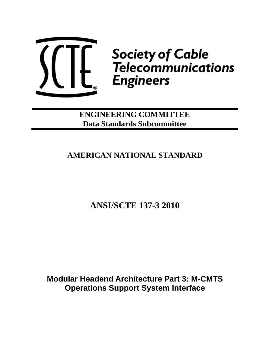

**Cable Society of Cable<br>4. Telecommunications Engineers** 

**ENGINEERING COMMITTEE Data Standards Subcommittee**

# **AMERICAN NATIONAL STANDARD**

**ANSI/SCTE 137-3 2010** 

**Modular Headend Architecture Part 3: M-CMTS Operations Support System Interface**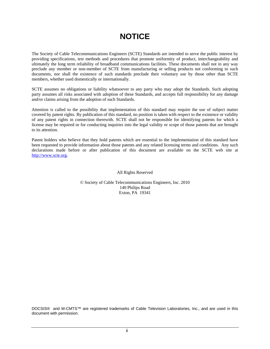# **NOTICE**

The Society of Cable Telecommunications Engineers (SCTE) Standards are intended to serve the public interest by providing specifications, test methods and procedures that promote uniformity of product, interchangeability and ultimately the long term reliability of broadband communications facilities. These documents shall not in any way preclude any member or non-member of SCTE from manufacturing or selling products not conforming to such documents, nor shall the existence of such standards preclude their voluntary use by those other than SCTE members, whether used domestically or internationally.

SCTE assumes no obligations or liability whatsoever to any party who may adopt the Standards. Such adopting party assumes all risks associated with adoption of these Standards, and accepts full responsibility for any damage and/or claims arising from the adoption of such Standards.

Attention is called to the possibility that implementation of this standard may require the use of subject matter covered by patent rights. By publication of this standard, no position is taken with respect to the existence or validity of any patent rights in connection therewith. SCTE shall not be responsible for identifying patents for which a license may be required or for conducting inquiries into the legal validity or scope of those patents that are brought to its attention.

Patent holders who believe that they hold patents which are essential to the implementation of this standard have been requested to provide information about those patents and any related licensing terms and conditions. Any such declarations made before or after publication of this document are available on the SCTE web site at [http://www.scte.org](http://www.scte.org/).

All Rights Reserved

© Society of Cable Telecommunications Engineers, Inc. 2010 140 Philips Road Exton, PA 19341

DOCSIS® and M-CMTS™ are registered trademarks of Cable Television Laboratories, Inc., and are used in this document with permission.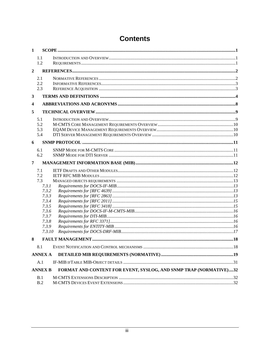| 1              |                          |                                                                   |  |
|----------------|--------------------------|-------------------------------------------------------------------|--|
|                | 1.1<br>1.2               |                                                                   |  |
| $\overline{2}$ |                          |                                                                   |  |
|                | 2.1<br>2.2<br>2.3        |                                                                   |  |
| 3              |                          |                                                                   |  |
| 4              |                          |                                                                   |  |
| 5              |                          |                                                                   |  |
|                | 5.1<br>5.2<br>5.3<br>5.4 |                                                                   |  |
| 6              |                          |                                                                   |  |
|                | 6.1<br>6.2               |                                                                   |  |
| 7              |                          |                                                                   |  |
|                | 7.1                      |                                                                   |  |
|                | 7.2<br>7.3               |                                                                   |  |
|                | 7.3.1                    |                                                                   |  |
|                | 7.3.2                    |                                                                   |  |
|                | 7.3.3                    |                                                                   |  |
|                | 7.3.4                    |                                                                   |  |
|                | 7.3.5                    |                                                                   |  |
|                | 7.3.6                    |                                                                   |  |
|                | 7.3.7                    |                                                                   |  |
|                | 7.3.8<br>7.3.9           |                                                                   |  |
|                | 7.3.10                   |                                                                   |  |
|                |                          |                                                                   |  |
| 8              |                          |                                                                   |  |
|                | 8.1                      |                                                                   |  |
|                | <b>ANNEX A</b>           |                                                                   |  |
|                | A.1                      |                                                                   |  |
|                | <b>ANNEX B</b>           | FORMAT AND CONTENT FOR EVENT, SYSLOG, AND SNMP TRAP (NORMATIVE)32 |  |
|                | B.1                      |                                                                   |  |
|                | B.2                      |                                                                   |  |

# **Contents**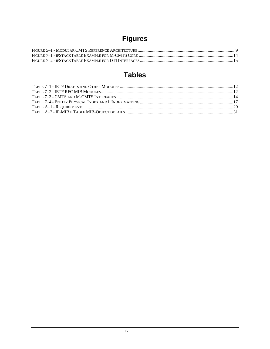# **Figures**

# **Tables**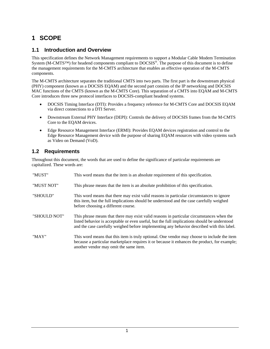## <span id="page-4-0"></span>**1 SCOPE**

### **1.1 Introduction and Overview**

<span id="page-4-1"></span>This specification defines the Network Management requirements to support a Modular Cable Modem Termination System (M-CMTS™) for headend components compliant to DOCSIS®. The purpose of this document is to define the management requirements for the M-CMTS architecture that enables an effective operation of the M-CMTS components.

The M-CMTS architecture separates the traditional CMTS into two parts. The first part is the downstream physical (PHY) component (known as a DOCSIS EQAM) and the second part consists of the IP networking and DOCSIS MAC functions of the CMTS (known as the M-CMTS Core). This separation of a CMTS into EQAM and M-CMTS Core introduces three new protocol interfaces to DOCSIS-compliant headend systems.

- DOCSIS Timing Interface (DTI): Provides a frequency reference for M-CMTS Core and DOCSIS EQAM via direct connections to a DTI Server.
- Downstream External PHY Interface (DEPI): Controls the delivery of DOCSIS frames from the M-CMTS Core to the EQAM devices.
- Edge Resource Management Interface (ERMI): Provides EQAM devices registration and control to the Edge Resource Management device with the purpose of sharing EQAM resources with video systems such as Video on Demand (VoD).

### <span id="page-4-2"></span>**1.2 Requirements**

Throughout this document, the words that are used to define the significance of particular requirements are capitalized. These words are:

| "MUST"       | This word means that the item is an absolute requirement of this specification.                                                                                                                                                                                                         |
|--------------|-----------------------------------------------------------------------------------------------------------------------------------------------------------------------------------------------------------------------------------------------------------------------------------------|
| "MUST NOT"   | This phrase means that the item is an absolute prohibition of this specification.                                                                                                                                                                                                       |
| "SHOULD"     | This word means that there may exist valid reasons in particular circumstances to ignore<br>this item, but the full implications should be understood and the case carefully weighed<br>before choosing a different course.                                                             |
| "SHOULD NOT" | This phrase means that there may exist valid reasons in particular circumstances when the<br>listed behavior is acceptable or even useful, but the full implications should be understood<br>and the case carefully weighed before implementing any behavior described with this label. |
| "MAY"        | This word means that this item is truly optional. One vendor may choose to include the item<br>because a particular marketplace requires it or because it enhances the product, for example;<br>another vendor may omit the same item.                                                  |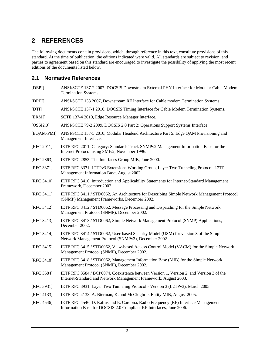## <span id="page-5-0"></span>**2 REFERENCES**

The following documents contain provisions, which, through reference in this text, constitute provisions of this standard. At the time of publication, the editions indicated were valid. All standards are subject to revision, and parties to agreement based on this standard are encouraged to investigate the possibility of applying the most recent editions of the documents listed below.

### <span id="page-5-1"></span>**2.1 Normative References**

- <span id="page-5-2"></span>[DEPI] ANSI/SCTE 137-2 2007, DOCSIS Downstream External PHY Interface for Modular Cable Modem Termination Systems.
- <span id="page-5-3"></span>[DRFI] ANSI/SCTE 133 2007, Downstream RF Interface for Cable modem Termination Systems.
- <span id="page-5-5"></span>[DTI] ANSI/SCTE 137-1 2010, DOCSIS Timing Interface for Cable Modem Termination Systems.
- <span id="page-5-20"></span>[ERMI] SCTE 137-4 2010, Edge Resource Manager Interface.
- <span id="page-5-4"></span>[OSSI2.0] ANSI/SCTE 79-2 2009, DOCSIS 2.0 Part 2: Operations Support Systems Interface.
- <span id="page-5-6"></span>[EQAM-PMI] ANSI/SCTE 137-5 2010, Modular Headend Architecture Part 5: Edge QAM Provisioning and Management Interface.
- <span id="page-5-10"></span>[RFC 2011] IETF RFC 2011, Category: Standards Track SNMPv2 Management Information Base for the Internet Protocol using SMIv2, November 1996.
- <span id="page-5-11"></span>[RFC 2863] IETF RFC 2853, The Interfaces Group MIB, June 2000.
- <span id="page-5-12"></span>[RFC 3371] IETF RFC 3371, L2TPv3 Extensions Working Group, Layer Two Tunneling Protocol 'L2TP' Management Information Base, August 2002.
- <span id="page-5-13"></span>[RFC 3410] IETF RFC 3410, Introduction and Applicability Statements for Internet-Standard Management Framework, December 2002.
- <span id="page-5-7"></span>[RFC 3411] IETF RFC 3411 / STD0062, An Architecture for Describing Simple Network Management Protocol (SNMP) Management Frameworks, December 2002.
- <span id="page-5-14"></span>[RFC 3412] IETF RFC 3412 / STD0062, Message Processing and Dispatching for the Simple Network Management Protocol (SNMP), December 2002.
- <span id="page-5-15"></span>[RFC 3413] IETF RFC 3413 / STD0062, Simple Network Management Protocol (SNMP) Applications, December 2002.
- <span id="page-5-16"></span>[RFC 3414] IETF RFC 3414 / STD0062, User-based Security Model (USM) for version 3 of the Simple Network Management Protocol (SNMPv3), December 2002.
- <span id="page-5-8"></span>[RFC 3415] IETF RFC 3415 / STD0062, View-based Access Control Model (VACM) for the Simple Network Management Protocol (SNMP), December 2002.
- <span id="page-5-17"></span>[RFC 3418] IETF RFC 3418 / STD0062, Management Information Base (MIB) for the Simple Network Management Protocol (SNMP), December 2002.
- <span id="page-5-9"></span>[RFC 3584] IETF RFC 3584 / BCP0074, Coexistence between Version 1, Version 2, and Version 3 of the Internet-Standard and Network Management Framework, August 2003.
- <span id="page-5-19"></span>[RFC 3931] IETF RFC 3931, Layer Two Tunneling Protocol - Version 3 (L2TPv3), March 2005.
- <span id="page-5-18"></span>[RFC 4133] IETF RFC 4133, A. Bierman, K. and McCloghrie, Entity MIB, August 2005.
- <span id="page-5-21"></span>[RFC 4546] IETF RFC 4546, D. Raftus and E. Cardona, Radio Frequency (RF) Interface Management Information Base for DOCSIS 2.0 Compliant RF Interfaces, June 2006.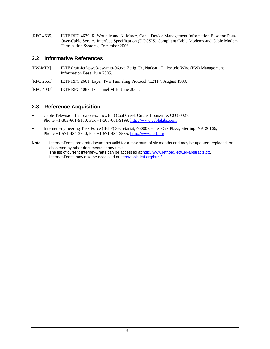<span id="page-6-2"></span>[RFC 4639] IETF RFC 4639, R. Woundy and K. Marez, Cable Device Management Information Base for Data-Over-Cable Service Interface Specification (DOCSIS) Compliant Cable Modems and Cable Modem Termination Systems, December 2006.

#### <span id="page-6-0"></span>**2.2 Informative References**

- <span id="page-6-3"></span>[PW-MIB] IETF draft-ietf-pwe3-pw-mib-06.txt, Zelig, D., Nadeau, T., Pseudo Wire (PW) Management Information Base, July 2005.
- <span id="page-6-5"></span>[RFC 2661] IETF RFC 2661, Layer Two Tunneling Protocol "L2TP", August 1999.
- <span id="page-6-4"></span>[RFC 4087] IETF RFC 4087, IP Tunnel MIB, June 2005.

### <span id="page-6-1"></span>**2.3 Reference Acquisition**

- Cable Television Laboratories, Inc., 858 Coal Creek Circle, Louisville, CO 80027, Phone +1-303-661-9100; Fax +1-303-661-9199; [http://www.cablelabs.com](http://www.cablelabs.com/)
- Internet Engineering Task Force (IETF) Secretariat, 46000 Center Oak Plaza, Sterling, VA 20166, Phone +1-571-434-3500, Fax +1-571-434-3535, [http://www.ietf.org](http://www.ietf.org/)
- **Note**: Internet-Drafts are draft documents valid for a maximum of six months and may be updated, replaced, or obsoleted by other documents at any time. The list of current Internet-Drafts can be accessed at <http://www.ietf.org/ietf/1id-abstracts.txt>. Internet-Drafts may also be accessed at<http://tools.ietf.org/html/>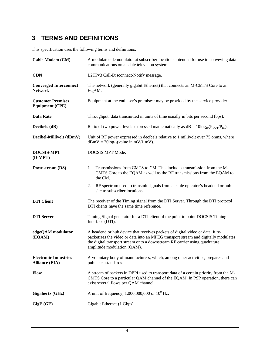## <span id="page-7-0"></span>**3 TERMS AND DEFINITIONS**

This specification uses the following terms and definitions:

| Cable Modem (CM)                                      | A modulator-demodulator at subscriber locations intended for use in conveying data<br>communications on a cable television system.                                                                                                                                                |  |
|-------------------------------------------------------|-----------------------------------------------------------------------------------------------------------------------------------------------------------------------------------------------------------------------------------------------------------------------------------|--|
| <b>CDN</b>                                            | L2TPv3 Call-Disconnect-Notify message.                                                                                                                                                                                                                                            |  |
| <b>Converged Interconnect</b><br><b>Network</b>       | The network (generally gigabit Ethernet) that connects an M-CMTS Core to an<br>EQAM.                                                                                                                                                                                              |  |
| <b>Customer Premises</b><br><b>Equipment (CPE)</b>    | Equipment at the end user's premises; may be provided by the service provider.                                                                                                                                                                                                    |  |
| <b>Data Rate</b>                                      | Throughput, data transmitted in units of time usually in bits per second (bps).                                                                                                                                                                                                   |  |
| Decibels (dB)                                         | Ratio of two power levels expressed mathematically as $dB = 10\log_{10}(P_{OUT}/P_{IN})$ .                                                                                                                                                                                        |  |
| Decibel-Millivolt (dBmV)                              | Unit of RF power expressed in decibels relative to 1 millivolt over 75 ohms, where<br>$dBmV = 20log_{10}(value in mV/1 mV).$                                                                                                                                                      |  |
| <b>DOCSIS-MPT</b><br>(D-MPT)                          | DOCSIS MPT Mode.                                                                                                                                                                                                                                                                  |  |
| Downstream (DS)                                       | Transmissions from CMTS to CM. This includes transmission from the M-<br>1.<br>CMTS Core to the EQAM as well as the RF transmissions from the EQAM to<br>the CM.                                                                                                                  |  |
|                                                       | RF spectrum used to transmit signals from a cable operator's headend or hub<br>2.<br>site to subscriber locations.                                                                                                                                                                |  |
| <b>DTI</b> Client                                     | The receiver of the Timing signal from the DTI Server. Through the DTI protocol<br>DTI clients have the same time reference.                                                                                                                                                      |  |
| <b>DTI</b> Server                                     | Timing Signal generator for a DTI client of the point to point DOCSIS Timing<br>Interface (DTI).                                                                                                                                                                                  |  |
| edgeQAM modulator<br>(EQAM)                           | A headend or hub device that receives packets of digital video or data. It re-<br>packetizes the video or data into an MPEG transport stream and digitally modulates<br>the digital transport stream onto a downstream RF carrier using quadrature<br>amplitude modulation (QAM). |  |
| <b>Electronic Industries</b><br><b>Alliance (EIA)</b> | A voluntary body of manufacturers, which, among other activities, prepares and<br>publishes standards.                                                                                                                                                                            |  |
| Flow                                                  | A stream of packets in DEPI used to transport data of a certain priority from the M-<br>CMTS Core to a particular QAM channel of the EQAM. In PSP operation, there can<br>exist several flows per QAM channel.                                                                    |  |
| Gigahertz (GHz)                                       | A unit of frequency; 1,000,000,000 or $10^9$ Hz.                                                                                                                                                                                                                                  |  |
| GigE (GE)                                             | Gigabit Ethernet (1 Gbps).                                                                                                                                                                                                                                                        |  |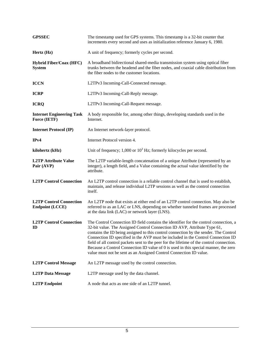| <b>GPSSEC</b>                                            | The timestamp used for GPS systems. This timestamp is a 32-bit counter that<br>increments every second and uses as initialization reference January 6, 1980.                                                                                                                                                                                                                                                                                                                                                                                                                                            |
|----------------------------------------------------------|---------------------------------------------------------------------------------------------------------------------------------------------------------------------------------------------------------------------------------------------------------------------------------------------------------------------------------------------------------------------------------------------------------------------------------------------------------------------------------------------------------------------------------------------------------------------------------------------------------|
| Hertz (Hz)                                               | A unit of frequency; formerly cycles per second.                                                                                                                                                                                                                                                                                                                                                                                                                                                                                                                                                        |
| <b>Hybrid Fiber/Coax (HFC)</b><br><b>System</b>          | A broadband bidirectional shared-media transmission system using optical fiber<br>trunks between the headend and the fiber nodes, and coaxial cable distribution from<br>the fiber nodes to the customer locations.                                                                                                                                                                                                                                                                                                                                                                                     |
| <b>ICCN</b>                                              | L2TPv3 Incoming-Call-Connected message.                                                                                                                                                                                                                                                                                                                                                                                                                                                                                                                                                                 |
| <b>ICRP</b>                                              | L2TPv3 Incoming-Call-Reply message.                                                                                                                                                                                                                                                                                                                                                                                                                                                                                                                                                                     |
| <b>ICRQ</b>                                              | L2TPv3 Incoming-Call-Request message.                                                                                                                                                                                                                                                                                                                                                                                                                                                                                                                                                                   |
| <b>Internet Engineering Task</b><br>Force (IETF)         | A body responsible for, among other things, developing standards used in the<br>Internet.                                                                                                                                                                                                                                                                                                                                                                                                                                                                                                               |
| <b>Internet Protocol (IP)</b>                            | An Internet network-layer protocol.                                                                                                                                                                                                                                                                                                                                                                                                                                                                                                                                                                     |
| IPv4                                                     | Internet Protocol version 4.                                                                                                                                                                                                                                                                                                                                                                                                                                                                                                                                                                            |
| kilohertz (kHz)                                          | Unit of frequency; $1,000$ or $103$ Hz; formerly kilocycles per second.                                                                                                                                                                                                                                                                                                                                                                                                                                                                                                                                 |
| <b>L2TP Attribute Value</b><br>Pair (AVP)                | The L2TP variable-length concatenation of a unique Attribute (represented by an<br>integer), a length field, and a Value containing the actual value identified by the<br>attribute.                                                                                                                                                                                                                                                                                                                                                                                                                    |
| <b>L2TP Control Connection</b>                           | An L2TP control connection is a reliable control channel that is used to establish,<br>maintain, and release individual L2TP sessions as well as the control connection<br>itself.                                                                                                                                                                                                                                                                                                                                                                                                                      |
| <b>L2TP Control Connection</b><br><b>Endpoint (LCCE)</b> | An L2TP node that exists at either end of an L2TP control connection. May also be<br>referred to as an LAC or LNS, depending on whether tunneled frames are processed<br>at the data link (LAC) or network layer (LNS).                                                                                                                                                                                                                                                                                                                                                                                 |
| <b>L2TP Control Connection</b><br>ID                     | The Control Connection ID field contains the identifier for the control connection, a<br>32-bit value. The Assigned Control Connection ID AVP, Attribute Type 61,<br>contains the ID being assigned to this control connection by the sender. The Control<br>Connection ID specified in the AVP must be included in the Control Connection ID<br>field of all control packets sent to the peer for the lifetime of the control connection.<br>Because a Control Connection ID value of 0 is used in this special manner, the zero<br>value must not be sent as an Assigned Control Connection ID value. |
| <b>L2TP Control Message</b>                              | An L2TP message used by the control connection.                                                                                                                                                                                                                                                                                                                                                                                                                                                                                                                                                         |
| <b>L2TP Data Message</b>                                 | L2TP message used by the data channel.                                                                                                                                                                                                                                                                                                                                                                                                                                                                                                                                                                  |
| <b>L2TP</b> Endpoint                                     | A node that acts as one side of an L2TP tunnel.                                                                                                                                                                                                                                                                                                                                                                                                                                                                                                                                                         |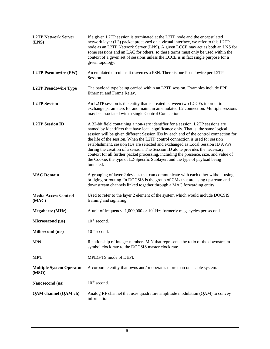| <b>L2TP Network Server</b><br>(LNS)      | If a given L2TP session is terminated at the L2TP node and the encapsulated<br>network layer (L3) packet processed on a virtual interface, we refer to this L2TP<br>node as an L2TP Network Server (LNS). A given LCCE may act as both an LNS for<br>some sessions and an LAC for others, so these terms must only be used within the<br>context of a given set of sessions unless the LCCE is in fact single purpose for a<br>given topology.                                                                                                                                                                                                                                                          |
|------------------------------------------|---------------------------------------------------------------------------------------------------------------------------------------------------------------------------------------------------------------------------------------------------------------------------------------------------------------------------------------------------------------------------------------------------------------------------------------------------------------------------------------------------------------------------------------------------------------------------------------------------------------------------------------------------------------------------------------------------------|
| <b>L2TP Pseudowire (PW)</b>              | An emulated circuit as it traverses a PSN. There is one Pseudowire per L2TP<br>Session.                                                                                                                                                                                                                                                                                                                                                                                                                                                                                                                                                                                                                 |
| <b>L2TP Pseudowire Type</b>              | The payload type being carried within an L2TP session. Examples include PPP,<br>Ethernet, and Frame Relay.                                                                                                                                                                                                                                                                                                                                                                                                                                                                                                                                                                                              |
| <b>L2TP</b> Session                      | An L2TP session is the entity that is created between two LCCEs in order to<br>exchange parameters for and maintain an emulated L2 connection. Multiple sessions<br>may be associated with a single Control Connection.                                                                                                                                                                                                                                                                                                                                                                                                                                                                                 |
| <b>L2TP Session ID</b>                   | A 32-bit field containing a non-zero identifier for a session. L2TP sessions are<br>named by identifiers that have local significance only. That is, the same logical<br>session will be given different Session IDs by each end of the control connection for<br>the life of the session. When the L2TP control connection is used for session<br>establishment, session IDs are selected and exchanged as Local Session ID AVPs<br>during the creation of a session. The Session ID alone provides the necessary<br>context for all further packet processing, including the presence, size, and value of<br>the Cookie, the type of L2-Specific Sublayer, and the type of payload being<br>tunneled. |
| <b>MAC Domain</b>                        | A grouping of layer 2 devices that can communicate with each other without using<br>bridging or routing. In DOCSIS is the group of CMs that are using upstream and                                                                                                                                                                                                                                                                                                                                                                                                                                                                                                                                      |
|                                          | downstream channels linked together through a MAC forwarding entity.                                                                                                                                                                                                                                                                                                                                                                                                                                                                                                                                                                                                                                    |
| <b>Media Access Control</b><br>(MAC)     | Used to refer to the layer 2 element of the system which would include DOCSIS<br>framing and signaling.                                                                                                                                                                                                                                                                                                                                                                                                                                                                                                                                                                                                 |
| <b>Megahertz</b> (MHz)                   | A unit of frequency; $1,000,000$ or $10^6$ Hz; formerly megacycles per second.                                                                                                                                                                                                                                                                                                                                                                                                                                                                                                                                                                                                                          |
| Microsecond $(\mu s)$                    | $10^{-6}$ second.                                                                                                                                                                                                                                                                                                                                                                                                                                                                                                                                                                                                                                                                                       |
| <b>Millisecond</b> (ms)                  | $10^{-3}$ second.                                                                                                                                                                                                                                                                                                                                                                                                                                                                                                                                                                                                                                                                                       |
| M/N                                      | Relationship of integer numbers M,N that represents the ratio of the downstream<br>symbol clock rate to the DOCSIS master clock rate.                                                                                                                                                                                                                                                                                                                                                                                                                                                                                                                                                                   |
| <b>MPT</b>                               | MPEG-TS mode of DEPI.                                                                                                                                                                                                                                                                                                                                                                                                                                                                                                                                                                                                                                                                                   |
| <b>Multiple System Operator</b><br>(MSO) | A corporate entity that owns and/or operates more than one cable system.                                                                                                                                                                                                                                                                                                                                                                                                                                                                                                                                                                                                                                |
| Nanosecond (ns)                          | $10^{-9}$ second.                                                                                                                                                                                                                                                                                                                                                                                                                                                                                                                                                                                                                                                                                       |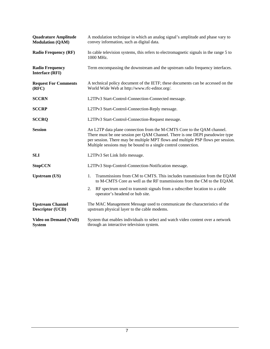| <b>Quadrature Amplitude</b><br><b>Modulation (QAM)</b> | A modulation technique in which an analog signal's amplitude and phase vary to<br>convey information, such as digital data.                                                                                                                                                                                  |  |
|--------------------------------------------------------|--------------------------------------------------------------------------------------------------------------------------------------------------------------------------------------------------------------------------------------------------------------------------------------------------------------|--|
| <b>Radio Frequency (RF)</b>                            | In cable television systems, this refers to electromagnetic signals in the range 5 to<br>1000 MHz.                                                                                                                                                                                                           |  |
| <b>Radio Frequency</b><br><b>Interface (RFI)</b>       | Term encompassing the downstream and the upstream radio frequency interfaces.                                                                                                                                                                                                                                |  |
| <b>Request For Comments</b><br>(RFC)                   | A technical policy document of the IETF; these documents can be accessed on the<br>World Wide Web at http://www.rfc-editor.org/.                                                                                                                                                                             |  |
| <b>SCCRN</b>                                           | L2TPv3 Start-Control-Connection-Connected message.                                                                                                                                                                                                                                                           |  |
| <b>SCCRP</b>                                           | L2TPv3 Start-Control-Connection-Reply message.                                                                                                                                                                                                                                                               |  |
| <b>SCCRQ</b>                                           | L2TPv3 Start-Control-Connection-Request message.                                                                                                                                                                                                                                                             |  |
| <b>Session</b>                                         | An L2TP data plane connection from the M-CMTS Core to the QAM channel.<br>There must be one session per QAM Channel. There is one DEPI pseudowire type<br>per session. There may be multiple MPT flows and multiple PSP flows per session.<br>Multiple sessions may be bound to a single control connection. |  |
| <b>SLI</b>                                             | L2TPv3 Set Link Info message.                                                                                                                                                                                                                                                                                |  |
| <b>StopCCN</b>                                         | L2TPv3 Stop-Control-Connection-Notification message.                                                                                                                                                                                                                                                         |  |
| <b>Upstream</b> (US)                                   | Transmissions from CM to CMTS. This includes transmission from the EQAM<br>1.<br>to M-CMTS Core as well as the RF transmissions from the CM to the EQAM.                                                                                                                                                     |  |
|                                                        | RF spectrum used to transmit signals from a subscriber location to a cable<br>2.<br>operator's headend or hub site.                                                                                                                                                                                          |  |
| <b>Upstream Channel</b><br><b>Descriptor (UCD)</b>     | The MAC Management Message used to communicate the characteristics of the<br>upstream physical layer to the cable modems.                                                                                                                                                                                    |  |
| <b>Video on Demand (VoD)</b><br><b>System</b>          | System that enables individuals to select and watch video content over a network<br>through an interactive television system.                                                                                                                                                                                |  |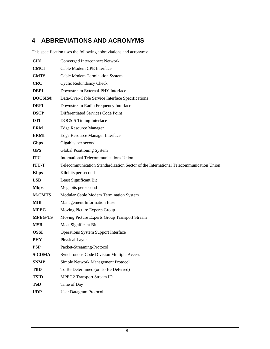## <span id="page-11-0"></span>**4 ABBREVIATIONS AND ACRONYMS**

This specification uses the following abbreviations and acronyms:

| <b>CIN</b>     | <b>Converged Interconnect Network</b>                                                 |  |  |
|----------------|---------------------------------------------------------------------------------------|--|--|
| <b>CMCI</b>    | Cable Modem CPE Interface                                                             |  |  |
| <b>CMTS</b>    | Cable Modem Termination System                                                        |  |  |
| <b>CRC</b>     | <b>Cyclic Redundancy Check</b>                                                        |  |  |
| <b>DEPI</b>    | Downstream External-PHY Interface                                                     |  |  |
| <b>DOCSIS®</b> | Data-Over-Cable Service Interface Specifications                                      |  |  |
| <b>DRFI</b>    | Downstream Radio Frequency Interface                                                  |  |  |
| <b>DSCP</b>    | Differentiated Services Code Point                                                    |  |  |
| <b>DTI</b>     | <b>DOCSIS</b> Timing Interface                                                        |  |  |
| <b>ERM</b>     | <b>Edge Resource Manager</b>                                                          |  |  |
| <b>ERMI</b>    | <b>Edge Resource Manager Interface</b>                                                |  |  |
| <b>Gbps</b>    | Gigabits per second                                                                   |  |  |
| <b>GPS</b>     | Global Positioning System                                                             |  |  |
| <b>ITU</b>     | International Telecommunications Union                                                |  |  |
| <b>ITU-T</b>   | Telecommunication Standardization Sector of the International Telecommunication Union |  |  |
| <b>Kbps</b>    | Kilobits per second                                                                   |  |  |
|                |                                                                                       |  |  |
| <b>LSB</b>     | Least Significant Bit                                                                 |  |  |
| <b>Mbps</b>    | Megabits per second                                                                   |  |  |
| <b>M-CMTS</b>  | Modular Cable Modem Termination System                                                |  |  |
| <b>MIB</b>     | Management Information Base                                                           |  |  |
| <b>MPEG</b>    | Moving Picture Experts Group                                                          |  |  |
| <b>MPEG-TS</b> | Moving Picture Experts Group Transport Stream                                         |  |  |
| <b>MSB</b>     | Most Significant Bit                                                                  |  |  |
| <b>OSSI</b>    | <b>Operations System Support Interface</b>                                            |  |  |
| <b>PHY</b>     | Physical Layer                                                                        |  |  |
| <b>PSP</b>     | Packet-Streaming-Protocol                                                             |  |  |
| <b>S-CDMA</b>  | <b>Synchronous Code Division Multiple Access</b>                                      |  |  |
| <b>SNMP</b>    | Simple Network Management Protocol                                                    |  |  |
| <b>TBD</b>     | To Be Determined (or To Be Deferred)                                                  |  |  |
| <b>TSID</b>    | <b>MPEG2 Transport Stream ID</b>                                                      |  |  |
| ToD            | Time of Day                                                                           |  |  |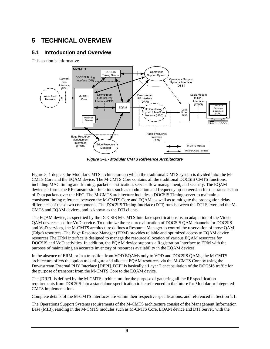## <span id="page-12-2"></span><span id="page-12-0"></span>**5 TECHNICAL OVERVIEW**

## **5.1 Introduction and Overview**

<span id="page-12-1"></span>This section is informative.



*Figure 5–1 - Modular CMTS Reference Architecture* 

<span id="page-12-3"></span>[Figure 5–1](#page-12-3) depicts the Modular CMTS architecture on which the traditional CMTS system is divided into: the M-CMTS Core and the EQAM device. The M-CMTS Core contains all the traditional DOCSIS CMTS functions, including MAC timing and framing, packet classification, service flow management, and security. The EQAM device performs the RF transmission functions such as modulation and frequency up-conversion for the transmission of Data packets over the HFC. The M-CMTS architecture includes a DOCSIS Timing server to maintain a consistent timing reference between the M-CMTS Core and EQAM, as well as to mitigate the propagation delay differences of these two components. The DOCSIS Timing Interface (DTI) runs between the DTI Server and the M-CMTS and EQAM devices, and is known as the DTI clients.

The EQAM device, as specified by the DOCSIS M-CMTS Interface specifications, is an adaptation of the Video QAM devices used for VoD service. To optimize the resource allocation of DOCSIS QAM channels for DOCSIS and VoD services, the M-CMTS architecture defines a Resource Manager to control the reservation of those QAM (Edge) resources. The Edge Resource Manager (ERM) provides reliable and optimized access to EQAM device resources The ERM interface is designed to manage the resource allocation of various EQAM resources for DOCSIS and VoD activities. In addition, the EQAM device supports a Registration Interface to ERM with the purpose of maintaining an accurate inventory of resources availability in the EQAM devices.

In the absence of ERM, or in a transition from VOD EQAMs only to VOD and DOCSIS QAMs, the M-CMTS architecture offers the option to configure and allocate EQAM resources via the M-CMTS Core by using the Downstream External PHY Interface [\[DEPI\]](#page-5-2). DEPI is basically a Layer 2 encapsulation of the DOCSIS traffic for the purpose of transport from the M-CMTS Core to the EQAM device.

The [\[DRFI\]](#page-5-3) is defined by the M-CMTS architecture for the purpose of gathering all the RF specification requirements from DOCSIS into a standalone specification to be referenced in the future for Modular or integrated CMTS implementations.

Complete details of the M-CMTS interfaces are within their respective specifications, and referenced in Section [1.1](#page-4-1).

The Operations Support Systems requirements of the M-CMTS architecture consist of the Management Information Base (MIB), residing in the M-CMTS modules such as M-CMTS Core, EQAM device and DTI Server, with the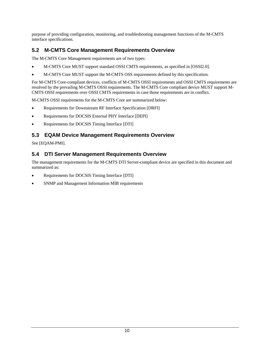purpose of providing configuration, monitoring, and troubleshooting management functions of the M-CMTS interface specifications.

## <span id="page-13-0"></span>**5.2 M-CMTS Core Management Requirements Overview**

The M-CMTS Core Management requirements are of two types:

- M-CMTS Core MUST support standard OSSI CMTS requirements, as specified in [\[OSSI2.0\].](#page-5-4)
- M-CMTS Core MUST support the M-CMTS OSS requirements defined by this specification.

For M-CMTS Core-compliant devices, conflicts of M-CMTS OSSI requirements and OSSI CMTS requirements are resolved by the prevailing M-CMTS OSSI requirements. The M-CMTS Core compliant device MUST support M-CMTS OSSI requirements over OSSI CMTS requirements in case those requirements are in conflict.

M-CMTS OSSI requirements for the M-CMTS Core are summarized below:

- Requirements for Downstream RF Interface Specification [\[DRFI\]](#page-5-3)
- Requirements for DOCSIS External PHY Interface [\[DEPI\]](#page-5-2)
- Requirements for DOCSIS Timing Interface [\[DTI\]](#page-5-5)

## <span id="page-13-1"></span>**5.3 EQAM Device Management Requirements Overview**

See [\[EQAM-PMI\]](#page-5-6).

## <span id="page-13-2"></span>**5.4 DTI Server Management Requirements Overview**

The management requirements for the M-CMTS DTI Server-compliant device are specified in this document and summarized as:

- Requirements for DOCSIS Timing Interface [\[DTI\]](#page-5-5)
- SNMP and Management Information MIB requirements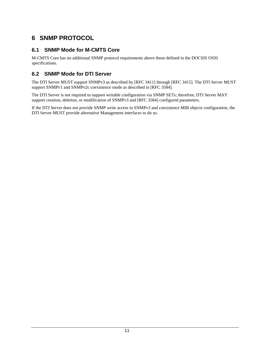## <span id="page-14-0"></span>**6 SNMP PROTOCOL**

## **6.1 SNMP Mode for M-CMTS Core**

<span id="page-14-1"></span>M-CMTS Core has no additional SNMP protocol requirements above those defined in the DOCSIS OSSI specifications.

## <span id="page-14-2"></span>**6.2 SNMP Mode for DTI Server**

The DTI Server MUST support SNMPv3 as described by [\[RFC 3411\]](#page-5-7) through [\[RFC 3415\].](#page-5-8) The DTI Server MUST support SNMPv1 and SNMPv2c coexistence mode as described in [\[RFC 3584\]](#page-5-9).

The DTI Server is not required to support writable configuration via SNMP SETs; therefore, DTI Server MAY support creation, deletion, or modification of SNMPv3 and [\[RFC 3584\]](#page-5-9) configured parameters.

If the DTI Server does not provide SNMP write access to SNMPv3 and coexistence MIB objects configuration, the DTI Server MUST provide alternative Management interfaces to do so.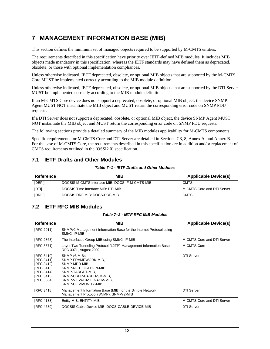## <span id="page-15-3"></span><span id="page-15-0"></span>**7 MANAGEMENT INFORMATION BASE (MIB)**

This section defines the minimum set of managed objects required to be supported by M-CMTS entities.

The requirements described in this specification have priority over IETF-defined MIB modules. It includes MIB objects made mandatory in this specification, whereas the IETF standards may have defined them as deprecated, obsolete, or those with optional implementation compliances.

Unless otherwise indicated, IETF deprecated, obsolete, or optional MIB objects that are supported by the M-CMTS Core MUST be implemented correctly according to the MIB module definition.

Unless otherwise indicated, IETF deprecated, obsolete, or optional MIB objects that are supported by the DTI Server MUST be implemented correctly according to the MIB module definition.

If an M-CMTS Core device does not support a deprecated, obsolete, or optional MIB object, the device SNMP Agent MUST NOT instantiate the MIB object and MUST return the corresponding error code on SNMP PDU requests.

If a DTI Server does not support a deprecated, obsolete, or optional MIB object, the device SNMP Agent MUST NOT instantiate the MIB object and MUST return the corresponding error code on SNMP PDU requests.

The following sections provide a detailed summary of the MIB modules applicability for M-CMTS components.

Specific requirements for M-CMTS Core and DTI Server are detailed in Sections [7.3,](#page-16-0) [8,](#page-21-0) [Annex A](#page-22-0), and [Annex B.](#page-35-0) For the case of M-CMTS Core, the requirements described in this specification are in addition and/or replacement of CMTS requirements outlined in the [\[OSSI2.0\]](#page-5-4) specification.

### <span id="page-15-1"></span>**7.1 IETF Drafts and Other Modules**

*Table 7–1 - IETF Drafts and Other Modules* 

<span id="page-15-4"></span>

| Reference    | <b>MIB</b>                                      | <b>Applicable Device(s)</b> |
|--------------|-------------------------------------------------|-----------------------------|
| [DEPI]       | DOCSIS M-CMTS Interface MIB: DOCS-IF-M-CMTS-MIB | <b>CMTS</b>                 |
| <b>IDTII</b> | DOCSIS Time Interface MIB: DTI-MIB              | M-CMTS Core and DTI Server  |
| [DRFI]       | DOCSIS DRF MIB: DOCS-DRF-MIB                    | <b>CMTS</b>                 |

### <span id="page-15-2"></span>**7.2 IETF RFC MIB Modules**

#### *Table 7–2 - IETF RFC MIB Modules*

<span id="page-15-5"></span>

| Reference                                                                                                    | <b>MIB</b>                                                                                                                                                                       | <b>Applicable Device(s)</b> |
|--------------------------------------------------------------------------------------------------------------|----------------------------------------------------------------------------------------------------------------------------------------------------------------------------------|-----------------------------|
| [RFC 2011]                                                                                                   | SNMPv2 Management Information Base for the Internet Protocol using<br>SMIv2: IP-MIB                                                                                              |                             |
| [RFC 2863]                                                                                                   | The Interfaces Group MIB using SMIv2: IF-MIB                                                                                                                                     | M-CMTS Core and DTI Server  |
| [RFC 3371]                                                                                                   | Layer Two Tunneling Protocol "L2TP" Management Information Base<br>RFC 3371, August 2002                                                                                         | M-CMTS Core                 |
| [RFC 3410]<br>[RFC 3411]<br>[RFC 3412]<br><b>IRFC 34131</b><br>[RFC 3414]<br><b>IRFC 34151</b><br>[RFC 3584] | SNMP v3 MIBs:<br>SNMP-FRAMEWORK-MIB,<br>SNMP-MPD-MIB.<br>SNMP-NOTIFICATION-MIB,<br>SNMP-TARGET-MIB.<br>SNMP-USER-BASED-SM-MIB,<br>SNMP-VIEW-BASED-ACM-MIB,<br>SNMP-COMMUNITY-MIB | DTI Server                  |
| <b>IRFC 34181</b>                                                                                            | Management Information Base (MIB) for the Simple Network<br>Management Protocol (SNMP): SNMPv2-MIB                                                                               | <b>DTI Server</b>           |
| <b>IRFC 41331</b>                                                                                            | Entity MIB: ENTITY-MIB                                                                                                                                                           | M-CMTS Core and DTI Server  |
| <b>IRFC 46391</b>                                                                                            | DOCSIS Cable Device MIB: DOCS-CABLE-DEVICE-MIB                                                                                                                                   | <b>DTI Server</b>           |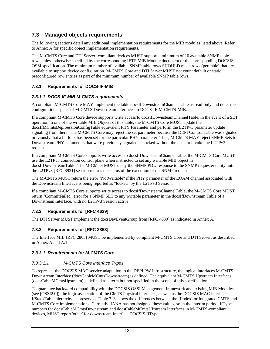## <span id="page-16-0"></span>**7.3 Managed objects requirements**

The following sections detail any additional implementation requirements for the MIB modules listed above. Refer to [Annex A](#page-22-0) for specific object implementation requirements.

The M-CMTS Core and DTI Server -compliant devices MUST support a minimum of 10 available SNMP table rows unless otherwise specified by the corresponding IETF MIB Module document or the corresponding DOCSIS OSSI specification. The minimum number of available SNMP table rows SHOULD mean rows (per table) that are available to support device configuration. M-CMTS Core and DTI Server MUST not count default or static preconfigured row entries as part of the minimum number of available SNMP table rows.

### <span id="page-16-1"></span>**7.3.1 Requirements for DOCS-IF-MIB**

### *7.3.1.1 DOCS-IF-MIB M-CMTS requirements*

A compliant M-CMTS Core MAY implement the table docsIfDownstreamChannelTable as read-only and defer the configuration aspects of M-CMTS Downstream interfaces to DOCS-IF-M-CMTS-MIB.

If a compliant M-CMTS Core device supports write access to docsIfDownsteamChannelTable, in the event of a SET operation in one of the writable MIB Objects of this table, the M-CMTS Core MUST update the docsIfMCmtsDepiSessionConfigTable equivalent PHY Parameter and perform the L2TPv3 parameter update signaling from there. The M-CMTS Core may reject the set parameter because the DEPI Control Table was signaled previously that a bit lock has been set for the particular PHY parameter. Thus, M-CMTS MAY reject SNMP Sets to Downstream PHY parameters that were previously signaled as locked without the need to invoke the L2TPv3 request.

If a compliant M-CMTS Core supports write access to docsIfDownsteamChannelTable, the M-CMTS Core MUST use the L2TPv3 connection control plane when instructed to set any writable MIB object in docsIfDownstreamTable. The M-CMTS MUST delay the SNMP PDU response to the SNMP requester entity until the L2TPv3 [\[RFC 3931\]](#page-5-19) session returns the status of the execution of the SNMP request.

The M-CMTS MUST return the error "NotWritable" if the PHY parameter of the EQAM channel associated with the Downstream Interface is being reported as "locked" by the L2TPv3 Session.

If a compliant M-CMTS Core supports write access to docsIfDownsteamChannelTable, the M-CMTS Core MUST return "CommitFailed" error for a SNMP SET to any writable parameter in the docsIfDownstream Table of a Downstream Interface, with no L2TPv3 Session active.

#### <span id="page-16-2"></span>**7.3.2 Requirements for [\[RFC 4639\]](#page-6-2)**

The DTI Server MUST implement the docsDevEventGroup from [\[RFC 4639\]](#page-6-2) as indicated in [Annex A.](#page-22-0)

### <span id="page-16-3"></span>**7.3.3 Requirements for [\[RFC 2863\]](#page-5-11)**

The Interface MIB [\[RFC 2863\]](#page-5-11) MUST be implemented by compliant M-CMTS Core and DTI Server, as described in [Annex A](#page-22-0) and [A.1.](#page-34-0)

#### *7.3.3.1 Requirements for M-CMTS Core*

#### *7.3.3.1.1 M-CMTS Core Interface Types*

To represent the DOCSIS MAC service adaptation to the DEPI PW infrastructure, the logical interfaces M-CMTS Downstream Interface (docsCableMCmtsDownstream) is defined. The equivalent M-CMTS Upstream Interfaces (docsCableMCmtsUpstream) is defined as a term but not specified in the scope of this specification.

To guarantee backward compatibility with the DOCSIS OSSI Management framework and existing MIB Modules (see [\[OSSI2.0\]](#page-5-4)), the logic association of the CMTS Physical interfaces, as well as the DOCSIS MAC interface IfStackTable hierarchy, is preserved. [Table 7–3](#page-17-2) shows the differences between the IfIndex for Integrated CMTS and M-CMTS Core implementations. Currently, IANA has not assigned these values, so in the interim period, IfType numbers for docsCableMCmtsDownstream and docsCableMCmtsUPstream Interfaces in M-CMTS-compliant devices, MUST report 'other' for downstream Interface DOCSIS IfType.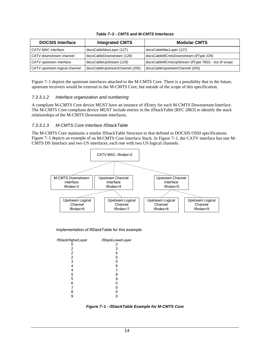<span id="page-17-2"></span><span id="page-17-0"></span>

| <b>DOCSIS Interface</b>       | <b>Integrated CMTS</b>         | <b>Modular CMTS</b>                                |
|-------------------------------|--------------------------------|----------------------------------------------------|
| CATV MAC interface            | docsCableMacLayer (127)        | docsCableMacLayer (127)                            |
| CATV downstream channel       | docsCableDownstream (128)      | docsCableMCmtsDownstream (ifType 229)              |
| CATV upstream interface       | docsCableUpStream (129)        | docsCableMCmtsUpStream (ifType TBD) - out of scope |
| CATV upstream logical channel | docsCableUpstreamChannel (205) | docsCableUpstreamChannel (205)                     |

#### *Table 7–3 - CMTS and M-CMTS Interfaces*

[Figure 7–1](#page-17-1) depicts the upstream interfaces attached to the M-CMTS Core. There is a possibility that in the future, upstream receivers would be external to the M-CMTS Core, but outside of the scope of this specification.

#### *7.3.3.1.2 Interface organization and numbering*

A compliant M-CMTS Core device MUST have an instance of ifEntry for each M-CMTS Downstream Interface. The M-CMTS Core-compliant device MUST include entries in the ifStackTable [\[RFC 2863\]](#page-5-11) to identify the stack relationships of the M-CMTS Downstream interfaces.

#### *7.3.3.1.3 M-CMTS Core Interface IfStackTable*

The M-CMTS Core maintains a similar IfStackTable Structure to that defined in DOCSIS OSSI specifications. [Figure 7–1](#page-17-1) depicts an example of an M-CMTS Core Interface Stack. In [Figure 7–1,](#page-17-1) the CATV interface has one M-CMTS DS Interface and two US interfaces, each one with two US logical channels.



Implementation of ifStackTable for this example:

| ifStackHigherLayer | ifStackLowerLayer |
|--------------------|-------------------|
|                    | 2                 |
| 2                  | 3                 |
| $\overline{2}$     | 4                 |
| $\overline{2}$     | 5                 |
| 3                  | 0                 |
| 4                  | 6                 |
| 4                  |                   |
| 5                  | 8                 |
| 5                  | 9                 |
| 6                  | 0                 |
|                    | 0                 |
| 8                  | 0                 |
| 9                  |                   |
|                    |                   |

<span id="page-17-1"></span>*Figure 7–1 - ifStackTable Example for M-CMTS Core*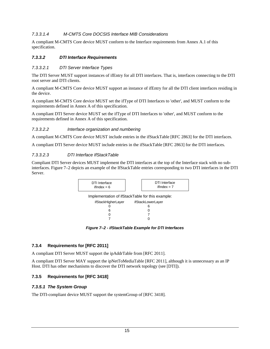#### <span id="page-18-2"></span>*7.3.3.1.4 M-CMTS Core DOCSIS Interface MIB Considerations*

A compliant M-CMTS Core device MUST conform to the Interface requirements from Annex [A.1](#page-34-0) of this specification.

#### *7.3.3.2 DTI Interface Requirements*

#### *7.3.3.2.1 DTI Server Interface Types*

The DTI Server MUST support instances of ifEntry for all DTI interfaces. That is, interfaces connecting to the DTI root server and DTI clients.

A compliant M-CMTS Core device MUST support an instance of ifEntry for all the DTI client interfaces residing in the device.

A compliant M-CMTS Core device MUST set the ifType of DTI Interfaces to 'other', and MUST conform to the requirements defined in [Annex A](#page-22-0) of this specification.

A compliant DTI Server device MUST set the ifType of DTI Interfaces to 'other', and MUST conform to the requirements defined in [Annex A](#page-22-0) of this specification.

#### *7.3.3.2.2 Interface organization and numbering*

A compliant M-CMTS Core device MUST include entries in the ifStackTable [\[RFC 2863\]](#page-5-11) for the DTI interfaces.

A compliant DTI Server device MUST include entries in the ifStackTable [\[RFC 2863\]](#page-5-11) for the DTI interfaces.

#### *7.3.3.2.3 DTI Interface IfStackTable*

Compliant DTI Server devices MUST implement the DTI interfaces at the top of the Interface stack with no subinterfaces. [Figure 7–2](#page-18-3) depicts an example of the IfStackTable entries corresponding to two DTI interfaces in the DTI Server.



*Figure 7–2 - ifStackTable Example for DTI Interfaces* 

#### <span id="page-18-3"></span><span id="page-18-0"></span>**7.3.4 Requirements for [\[RFC 2011\]](#page-5-10)**

A compliant DTI Server MUST support the ipAddrTable from [\[RFC 2011\]](#page-5-10).

A compliant DTI Server MAY support the ipNetToMediaTable [\[RFC 2011\]](#page-5-10), although it is unnecessary as an IP Host. DTI has other mechanisms to discover the DTI network topology (see [\[DTI\]\)](#page-5-5).

#### <span id="page-18-1"></span>**7.3.5 Requirements for [\[RFC 3418\]](#page-5-17)**

#### *7.3.5.1 The System Group*

The DTI-compliant device MUST support the systemGroup of [\[RFC 3418\]](#page-5-17).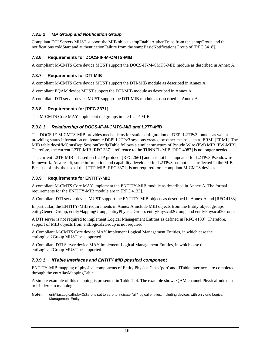#### *7.3.5.2 MP Group and Notification Group*

Compliant DTI Servers MUST support the MIB object snmpEnableAuthenTraps from the snmpGroup and the notifications coldStart and authenticationFailure from the snmpBasicNotificationsGroup of [\[RFC 3418\]](#page-5-17).

#### <span id="page-19-0"></span>**7.3.6 Requirements for DOCS-IF-M-CMTS-MIB**

A compliant M-CMTS Core device MUST support the DOCS-IF-M-CMTS-MIB module as described in [Annex A](#page-22-0).

#### <span id="page-19-1"></span>**7.3.7 Requirements for DTI-MIB**

A compliant M-CMTS Core device MUST support the DTI-MIB module as described in [Annex A](#page-22-0).

A compliant EQAM device MUST support the DTI-MIB module as described in [Annex A.](#page-22-0)

A compliant DTI server device MUST support the DTI-MIB module as described in [Annex A.](#page-22-0)

#### <span id="page-19-2"></span>**7.3.8 Requirements for [\[RFC 3371\]](#page-5-12)**

The M-CMTS Core MAY implement the groups in the L2TP-MIB.

#### *7.3.8.1 Relationship of DOCS-IF-M-CMTS-MIB and L2TP-MIB*

The DOCS-IF-M-CMTS-MIB provides mechanisms for static configuration of DEPI L2TPv3 tunnels as well as providing status information on dynamic DEPI L2TPv3 sessions created by other means such as ERMI [\[ERMI\].](#page-5-20) The MIB table docsIfMCmtsDepiSessionConfigTable follows a similar structure of Pseudo Wire (PW) MIB [\[PW-MIB\].](#page-6-3) Therefore, the current L2TP-MIB [\[RFC 3371\]](#page-5-12) reference to the TUNNEL-MIB [\[RFC 4087\]](#page-6-4) is no longer needed.

The current L2TP-MIB is based on L2TP protocol [\[RFC 2661\]](#page-6-5) and has not been updated for L2TPv3 Pseudowire framework. As a result, some information and capability developed for L2TPv3 has not been reflected in the MIB. Because of this, the use of the L2TP-MIB [\[RFC 3371\]](#page-5-12) is not required for a compliant M-CMTS devices.

#### <span id="page-19-3"></span>**7.3.9 Requirements for ENTITY-MIB**

A compliant M-CMTS Core MAY implement the ENTITY-MIB module as described in [Annex A.](#page-22-0) The formal requirements for the ENTITY-MIB module are in [\[RFC 4133\].](#page-5-18)

A Compliant DTI server device MUST support the ENTITY-MIB objects as described in [Annex A](#page-22-0) and [\[RFC 4133\]](#page-5-18)

In particular, the ENTITY-MIB requirements in [Annex A](#page-22-0) include MIB objects from the Entity object groups entityGeneralGroup, entityMappingGroup, entityPhysicalGroup, entityPhysical2Group, and entityPhysical3Group.

A DTI server is not required to implement Logical Management Entities as defined in [\[RFC 4133\]](#page-5-18). Therefore, support of MIB objects from entLogical2Group is not required.

A Compliant M-CMTS Core device MAY implement Logical Management Entities, in which case the entLogical2Group MUST be supported.

A Compliant DTI Server device MAY implement Logical Management Entities, in which case the entLogical2Group MUST be supported.

#### *7.3.9.1 IfTable Interfaces and ENTITY MIB physical component*

ENTITY-MIB mapping of physical components of Entity PhysicalClass 'port' and ifTable interfaces are completed through the entAliasMappingTable.

A simple example of this mapping is presented in Table  $7-4$ . The example shows QAM channel PhysicalIndex = m to if Index  $=$  n mapping.

**Note:** entAliasLogicalIndexOrZero is set to zero to indicate "all" logical entities; including devices with only one Logical Management Entity.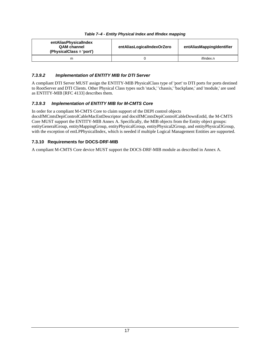#### *Table 7–4 - Entity Physical Index and IfIndex mapping*

<span id="page-20-2"></span><span id="page-20-1"></span>

| entAliasPhysicalIndex<br><b>QAM channel</b><br>(PhysicalClass = 'port') | entAliasLogicalIndexOrZero | entAliasMappingIdentifier |
|-------------------------------------------------------------------------|----------------------------|---------------------------|
| m                                                                       |                            | ifIndex.n                 |

#### *7.3.9.2 Implementation of ENTITY MIB for DTI Server*

A compliant DTI Server MUST assign the ENTITY-MIB PhysicalClass type of 'port' to DTI ports for ports destined to RootServer and DTI Clients. Other Physical Class types such 'stack,' 'chassis,' 'backplane,' and 'module,' are used as ENTITY-MIB [\[RFC 4133\]](#page-5-18) describes them.

#### *7.3.9.3 Implementation of ENTITY MIB for M-CMTS Core*

In order for a compliant M-CMTS Core to claim support of the DEPI control objects docsIfMCmtsDepiControlCableMacEntDescriptor and docsIfMCmtsDepiControlCableDownEntId, the M-CMTS Core MUST support the ENTITY-MIB [Annex A.](#page-22-0) Specifically, the MIB objects from the Entity object groups: entityGeneralGroup, entityMappingGroup, entityPhysicalGroup, entityPhysical2Group, and entityPhysical3Group, with the exception of entLPPhysicalIndex, which is needed if multiple Logical Management Entities are supported.

#### <span id="page-20-0"></span>**7.3.10 Requirements for DOCS-DRF-MIB**

A compliant M-CMTS Core device MUST support the DOCS-DRF-MIB module as described in [Annex A](#page-22-0).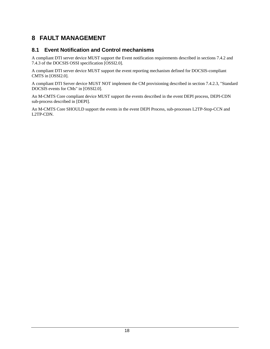## <span id="page-21-0"></span>**8 FAULT MANAGEMENT**

## <span id="page-21-1"></span>**8.1 Event Notification and Control mechanisms**

A compliant DTI server device MUST support the Event notification requirements described in sections 7.4.2 and 7.4.3 of the DOCSIS OSSI specification [\[OSSI2.0\].](#page-5-4)

A compliant DTI server device MUST support the event reporting mechanism defined for DOCSIS-compliant CMTS in [\[OSSI2.0\].](#page-5-4)

A compliant DTI Server device MUST NOT implement the CM provisioning described in section 7.4.2.3, "Standard DOCSIS events for CMs" in [\[OSSI2.0\]](#page-5-4).

An M-CMTS Core compliant device MUST support the events described in the event DEPI process, DEPI-CDN sub-process described in [DEPI].

An M-CMTS Core SHOULD support the events in the event DEPI Process, sub-processes L2TP-Stop-CCN and L2TP-CDN.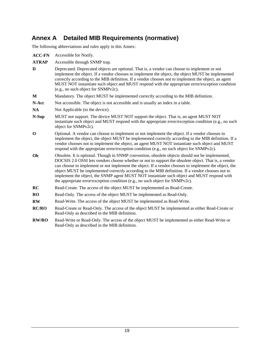## <span id="page-22-0"></span>**Annex A Detailed MIB Requirements (normative)**

The following abbreviations and rules apply in this Annex:

| <b>ACC-FN</b> | Accessible for Notify.                                                                                                                                                                                                                                                                                                                                                                                                                                                                                                                                                                                |
|---------------|-------------------------------------------------------------------------------------------------------------------------------------------------------------------------------------------------------------------------------------------------------------------------------------------------------------------------------------------------------------------------------------------------------------------------------------------------------------------------------------------------------------------------------------------------------------------------------------------------------|
| <b>ATRAP</b>  | Accessible through SNMP trap.                                                                                                                                                                                                                                                                                                                                                                                                                                                                                                                                                                         |
| D             | Deprecated. Deprecated objects are optional. That is, a vendor can choose to implement or not<br>implement the object. If a vendor chooses to implement the object, the object MUST be implemented<br>correctly according to the MIB definition. If a vendor chooses not to implement the object, an agent<br>MUST NOT instantiate such object and MUST respond with the appropriate error/exception condition<br>(e.g., no such object for SNMPv2c).                                                                                                                                                 |
| M             | Mandatory. The object MUST be implemented correctly according to the MIB definition.                                                                                                                                                                                                                                                                                                                                                                                                                                                                                                                  |
| N-Acc         | Not accessible. The object is not accessible and is usually an index in a table.                                                                                                                                                                                                                                                                                                                                                                                                                                                                                                                      |
| <b>NA</b>     | Not Applicable (to the device).                                                                                                                                                                                                                                                                                                                                                                                                                                                                                                                                                                       |
| N-Sup         | MUST not support. The device MUST NOT support the object. That is, an agent MUST NOT<br>instantiate such object and MUST respond with the appropriate error/exception condition (e.g., no such<br>object for SNMPv2c).                                                                                                                                                                                                                                                                                                                                                                                |
| $\bf{0}$      | Optional. A vendor can choose to implement or not implement the object. If a vendor chooses to<br>implement the object, the object MUST be implemented correctly according to the MIB definition. If a<br>vendor chooses not to implement the object, an agent MUST NOT instantiate such object and MUST<br>respond with the appropriate error/exception condition (e.g., no such object for SNMPv2c).                                                                                                                                                                                                |
| Ob            | Obsolete. It is optional. Though in SNMP convention, obsolete objects should not be implemented,<br>DOCSIS 2.0 OSSI lets vendors choose whether or not to support the obsolete object. That is, a vendor<br>can choose to implement or not implement the object. If a vendor chooses to implement the object, the<br>object MUST be implemented correctly according to the MIB definition. If a vendor chooses not to<br>implement the object, the SNMP agent MUST NOT instantiate such object and MUST respond with<br>the appropriate error/exception condition (e.g., no such object for SNMPv2c). |
| RC            | Read-Create. The access of the object MUST be implemented as Read-Create.                                                                                                                                                                                                                                                                                                                                                                                                                                                                                                                             |
| <b>RO</b>     | Read-Only. The access of the object MUST be implemented as Read-Only.                                                                                                                                                                                                                                                                                                                                                                                                                                                                                                                                 |
| <b>RW</b>     | Read-Write. The access of the object MUST be implemented as Read-Write.                                                                                                                                                                                                                                                                                                                                                                                                                                                                                                                               |
| <b>RC/RO</b>  | Read-Create or Read-Only. The access of the object MUST be implemented as either Read-Create or<br>Read-Only as described in the MIB definition.                                                                                                                                                                                                                                                                                                                                                                                                                                                      |
| <b>RW/RO</b>  | Read-Write or Read-Only. The access of the object MUST be implemented as either Read-Write or<br>Read-Only as described in the MIB definition.                                                                                                                                                                                                                                                                                                                                                                                                                                                        |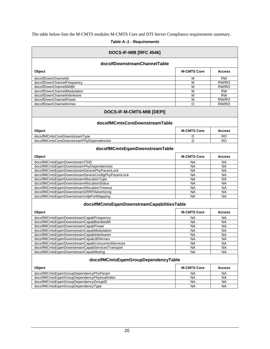<span id="page-23-0"></span>The table below lists the M-CMTS modules M-CMTS Core and DTI Server Compliance requirements summary.

*Table A–1 - Requirements* 

<span id="page-23-1"></span>

| DOCS-IF-MIB [RFC 4546]                            |                    |               |
|---------------------------------------------------|--------------------|---------------|
| docsIfDownstreamChannelTable                      |                    |               |
| Object                                            | <b>M-CMTS Core</b> | <b>Access</b> |
| docsIfDownChannelId                               | M                  | <b>RW</b>     |
| docsIfDownChannelFrequency                        | М                  | RW/RO         |
| docsIfDownChannelWidth                            | М                  | RW/RO         |
| docsIfDownChannelModulation                       | М                  | <b>RW</b>     |
| docsIfDownChannelInterleave                       | М                  | <b>RW</b>     |
| docsIfDownChannelPower                            | M                  | RW/RO         |
| docsIfDownChannelAnnex                            | O                  | RW/RO         |
| DOCS-IF-M-CMTS-MIB [DEPI]                         |                    |               |
| docsIfMCmtsCoreDownstreamTable                    |                    |               |
| Object                                            | <b>M-CMTS Core</b> | <b>Access</b> |
| docsIfMCmtsCoreDownstreamType                     | D                  | RO            |
| docsIfMCmtsCoreDownstreamPhyDependencies          | D                  | RO            |
| docsIfMCmtsEqamDownstreamTable                    |                    |               |
| Object                                            | <b>M-CMTS Core</b> | <b>Access</b> |
| docsIfMCmtsEqamDownstreamTSID                     | <b>NA</b>          | <b>NA</b>     |
| docsIfMCmtsEqamDownstreamPhyDependencies          | <b>NA</b>          | NA            |
| docsIfMCmtsEqamDownstreamDevicePhyParamLock       | <b>NA</b>          | <b>NA</b>     |
| docsIfMCmtsEqamDownstreamDeviceConfigPhyParamLock | <b>NA</b>          | <b>NA</b>     |
| docsIfMCmtsEqamDownstreamAllocationType           | <b>NA</b>          | ΝA            |
| docsIfMCmtsEqamDownstreamAllocationStatus         | <b>NA</b>          | <b>NA</b>     |
| docsIfMCmtsEqamDownstreamAllocationTimeout        | <b>NA</b>          | NA            |
| docsIfMCmtsEqamDownstreamDRRPAdvertizing          | <b>NA</b>          | <b>NA</b>     |
| docsIfMCmtsEqamDownstreamUdpPortMapping           | <b>NA</b>          | <b>NA</b>     |
| docsIfMCmtsEqamDownstreamCapabilitiesTable        |                    |               |
| Object                                            | <b>M-CMTS Core</b> | <b>Access</b> |
| docsIfMCmtsEqamDownstreamCapabFrequency           | <b>NA</b>          | <b>NA</b>     |
| docsIfMCmtsEqamDownstreamCapabBandwidth           | <b>NA</b>          | ΝA            |
| docsIfMCmtsEqamDownstreamCapabPower               | <b>NA</b>          | <b>NA</b>     |
| docsIfMCmtsEqamDownstreamCapabModulation          | <b>NA</b>          | <b>NA</b>     |
| docsIfMCmtsEqamDownstreamCapabInterleaver         | ΝA                 | ΝA            |
| docsIfMCmtsEqamDownstreamCapabJ83Annex            | <b>NA</b>          | <b>NA</b>     |
| docsIfMCmtsEgamDownstreamCapabConcurrentServices  | $\overline{NA}$    | <b>NA</b>     |
| docsIfMCmtsEqamDownstreamCapabServicesTransport   | <b>NA</b>          | <b>NA</b>     |
| docsIfMCmtsEgamDownstreamCapabMuting              | <b>NA</b>          | <b>NA</b>     |
| docsIfMCmtsEqamGroupDependencyTable               |                    |               |
| Object                                            | <b>M-CMTS Core</b> | <b>Access</b> |
| docsIfMCmtsEqamGroupDependencyPhyParam            | <b>NA</b>          | <b>NA</b>     |
| docsIfMCmtsEqamGroupDependencyPhysicalIndex       | <b>NA</b>          | NA            |
| docsIfMCmtsEqamGroupDependencyGroupID             | <b>NA</b>          | NA            |
| docsIfMCmtsEqamGroupDependencyType                | NA                 | NA            |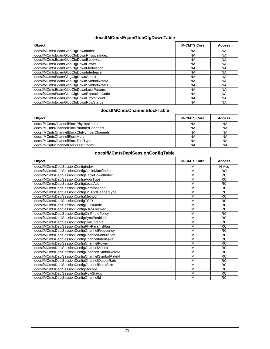| docsIfMCmtsEqamGlobCfgDownTable                                                |                         |                 |
|--------------------------------------------------------------------------------|-------------------------|-----------------|
| Object                                                                         | <b>M-CMTS Core</b>      | <b>Access</b>   |
| docsIfMCmtsEqamGlobCfgDownIndex                                                | NA                      | NA              |
| docsIfMCmtsEqamGlobCfgDownPhysicalIndex                                        | <b>NA</b>               | <b>NA</b>       |
| docsIfMCmtsEqamGlobCfgDownBandwidth                                            | <b>NA</b>               | <b>NA</b>       |
| docsIfMCmtsEqamGlobCfgDownPower                                                | $N_A$                   | <b>NA</b>       |
| docsIfMCmtsEqamGlobCfgDownModulation                                           | <b>NA</b>               | <b>NA</b>       |
| docsIfMCmtsEqamGlobCfgDownInterleave                                           | <b>NA</b>               | <b>NA</b>       |
| docsIfMCmtsEqamGlogCfgDownAnnex                                                | <b>NA</b>               | <b>NA</b>       |
| docsIfMCmtsEqamGlobCfgDownSymbolRateM                                          | <b>NA</b>               | <b>NA</b>       |
| docsIfMCmtsEqamGlobCfgDownSymbolRateN                                          | <b>NA</b>               | <b>NA</b>       |
| docsIfMCmtsEqamGlobCfgDownLockParams                                           | <b>NA</b>               | <b>NA</b>       |
| docsIfMCmtsEqamGlobCfgDownExecutionCode                                        | <b>NA</b>               | <b>NA</b>       |
| docsIfMCmtsEqamGlobCfgDownErrorsCount                                          | <b>NA</b>               | <b>NA</b>       |
| docsIfMCmtsEqamGlobCfgDownRowStatus                                            | <b>NA</b>               | <b>NA</b>       |
| docsIfMCmtsChannelBlockTable                                                   |                         |                 |
| Object                                                                         | <b>M-CMTS Core</b>      | <b>Access</b>   |
| docsIfMCmtsChannelBlockPhysicalIndex                                           | <b>NA</b>               | NA              |
| docsIfMCmtsChannelBlockNumberChannels                                          | <b>NA</b>               | <b>NA</b>       |
| docsIfMCmtsChannelBlockCfgNumberChannels                                       | $N_A$                   | <b>NA</b>       |
| docsIfMCmtsChannelBlockMute                                                    | <b>NA</b>               | <b>NA</b>       |
| docsIfMCmtsChannelBlockTestType                                                | <b>NA</b>               | <b>NA</b>       |
| docsIfMCmtsChannelBlockTestIfIndex                                             | <b>NA</b>               | <b>NA</b>       |
| docsIfMCmtsDepiSessionConfigTable<br>Object                                    | <b>M-CMTS Core</b>      | <b>Access</b>   |
| docsIfMCmtsDepiSessionConfigIndex                                              | M                       | N-Acc           |
| docsIfMCmtsDepiSessionConfigCableMacIfIndex                                    | M                       | RO              |
| docsIfMCmtsDepiSessionConfigCableDownfIndex                                    | M                       | RC              |
| docsIfMCmtsDepiSessionConfigAddrType                                           | M                       | <b>RC</b>       |
| docsIfMCmtsDepiSessionConfigLocalAddr                                          | M                       | <b>RC</b>       |
| docsIfMCmtsDepiSessionConfigRemoteAddr                                         | M                       | $\overline{RC}$ |
| docsIfMCmtsDepiSessionConfigL2TPv3HeaderType                                   | M                       | <b>RC</b>       |
| docsIfMCmtsDepiSessionConfigMethod                                             | M                       | <b>RC</b>       |
| docsIfMCmtsDepiSessionConfigTSID                                               | M                       | <b>RC</b>       |
| docsIfMCmtsDepiSessionConfigDEPIMode                                           | M                       | <b>RC</b>       |
| docsIfMCmtsDepiSessionConfigRsrcAllocReq                                       | $\overline{\mathsf{M}}$ | $\overline{RC}$ |
| docsIfMCmtsDepiSessionConfigCinPhbIdPolicy                                     | M                       | <b>RC</b>       |
| docsIfMCmtsDepiSessionConfigSyncEnabled                                        | M                       | <b>RC</b>       |
| docsIfMCmtsDepiSessionConfigSyncInterval                                       | M                       | RC              |
| docsIfMCmtsDepiSessionConfigPhyParamsFlag                                      | M                       | <b>RC</b>       |
| docsIfMCmtsDepiSessionConfigChannelFrequency                                   | M                       | RC              |
| docsIfMCmtsDepiSessionConfigChannelModulation                                  | M                       | RC              |
| docsIfMCmtsDepiSessionConfigChannelInterleave                                  | M                       | <b>RC</b>       |
| docsIfMCmtsDepiSessionConfigChannelPower                                       | M                       | <b>RC</b>       |
| docsIfMCmtsDepiSessionConfigChannelAnnex                                       | M                       | <b>RC</b>       |
|                                                                                |                         | RC              |
| docsIfMCmtsDepiSessionConfigChannelSymbolRateM                                 | M                       |                 |
| docsIfMCmtsDepiSessionConfigChannelSymbolRateN                                 | M                       | RC              |
| docsIfMCmtsDepiSessionConfigChannelOutputRate                                  | M                       | <b>RC</b>       |
| docsIfMCmtsDepiSessionConfigChannelBurstSize                                   | M                       | RC              |
| docsIfMCmtsDepiSessionConfigStorage                                            | M                       | $\overline{RC}$ |
| docsIfMCmtsDepiSessionConfigRowStatus<br>docsIfMCmtsDepiSessionConfigChannelId | M<br>M                  | <b>RC</b><br>RC |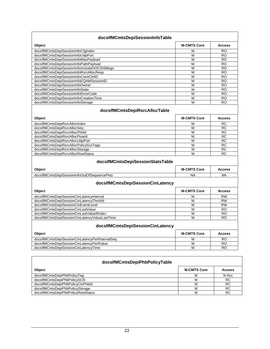| Object<br>docsIfMCmtsDepiSessionInfoCfgIndex<br>docsIfMCmtsDepiSessionInfoUdpPort<br>docsIfMCmtsDepiSessionInfoMaxPayload<br>docsIfMCmtsDepiSessionInfoPathPayload<br>docsIfMCmtsDepiSessionInfoIncludeDOCSISMsgs<br>docsIfMCmtsDepiSessionInfoRsrcAllocResp<br>docsIfMCmtsDepiSessionInfoConnCtrIID<br>docsIfMCmtsDepiSessionInfoEQAMSessionID<br>docsIfMCmtsDepiSessionInfoOwner<br>docsIfMCmtsDepiSessionInfoState<br>docsIfMCmtsDepiSessionInfoErrorCode<br>docsIfMCmtsDepiSessionInfoCreationTime<br>docsIfMCmtsDepiSessionInfoStorage<br>docsIfMCmtsDepiRsrcAllocTable<br>Object<br>docsIfMCmtsDepiRsrcAllocIndex<br>docsIfMCmtsDepiRsrcAllocSeq<br>docsIfMCmtsDepiRsrcAllocPhbld<br>docsIfMCmtsDepiRsrcAllocFlowId<br>docsIfMCmtsDepiRsrcAllocUdpPort<br>docsIfMCmtsDepiRsrcAllocPolicyScnTags<br>docsIfMCmtsDepiRsrcAllocStorage<br>docsIfMCmtsDepiRsrcAllocRowStatus<br>docsIfMCmtsDepiSessionStatsTable<br>Object<br>docsIfMCmtsDepiSessionInfoOutOfSequencePkts<br>docsIfMCmtsDepiSessionCinLatency<br>Object<br>docsIfMCmtsDepiSessionCinLatencyInterval<br>docsIfMCmtsDepiSessionCinLatencyThrshId<br>docsIfMCmtsDepiSessionCinEventLevel | <b>M-CMTS Core</b><br>M<br>M<br>М<br>M<br>M<br>M<br>M<br>M<br>M<br>M<br>$\overline{M}$<br>M<br>М<br><b>M-CMTS Core</b><br>M<br>М<br>M<br>M<br>M<br>M<br>M<br>M<br><b>M-CMTS Core</b> | <b>Access</b><br><b>RO</b><br><b>RO</b><br>RO.<br><b>RO</b><br>RO<br><b>RO</b><br>RO<br>RO<br><b>RO</b><br><b>RO</b><br><b>RO</b><br><b>RO</b><br><b>RO</b><br><b>Access</b><br><b>RC</b><br><b>RC</b><br><b>RC</b><br>RC<br>$\overline{RC}$<br><b>RC</b><br><b>RC</b><br><b>RC</b> |
|--------------------------------------------------------------------------------------------------------------------------------------------------------------------------------------------------------------------------------------------------------------------------------------------------------------------------------------------------------------------------------------------------------------------------------------------------------------------------------------------------------------------------------------------------------------------------------------------------------------------------------------------------------------------------------------------------------------------------------------------------------------------------------------------------------------------------------------------------------------------------------------------------------------------------------------------------------------------------------------------------------------------------------------------------------------------------------------------------------------------------------------------------------|--------------------------------------------------------------------------------------------------------------------------------------------------------------------------------------|-------------------------------------------------------------------------------------------------------------------------------------------------------------------------------------------------------------------------------------------------------------------------------------|
|                                                                                                                                                                                                                                                                                                                                                                                                                                                                                                                                                                                                                                                                                                                                                                                                                                                                                                                                                                                                                                                                                                                                                        |                                                                                                                                                                                      |                                                                                                                                                                                                                                                                                     |
|                                                                                                                                                                                                                                                                                                                                                                                                                                                                                                                                                                                                                                                                                                                                                                                                                                                                                                                                                                                                                                                                                                                                                        |                                                                                                                                                                                      |                                                                                                                                                                                                                                                                                     |
|                                                                                                                                                                                                                                                                                                                                                                                                                                                                                                                                                                                                                                                                                                                                                                                                                                                                                                                                                                                                                                                                                                                                                        |                                                                                                                                                                                      |                                                                                                                                                                                                                                                                                     |
|                                                                                                                                                                                                                                                                                                                                                                                                                                                                                                                                                                                                                                                                                                                                                                                                                                                                                                                                                                                                                                                                                                                                                        |                                                                                                                                                                                      |                                                                                                                                                                                                                                                                                     |
|                                                                                                                                                                                                                                                                                                                                                                                                                                                                                                                                                                                                                                                                                                                                                                                                                                                                                                                                                                                                                                                                                                                                                        |                                                                                                                                                                                      |                                                                                                                                                                                                                                                                                     |
|                                                                                                                                                                                                                                                                                                                                                                                                                                                                                                                                                                                                                                                                                                                                                                                                                                                                                                                                                                                                                                                                                                                                                        |                                                                                                                                                                                      |                                                                                                                                                                                                                                                                                     |
|                                                                                                                                                                                                                                                                                                                                                                                                                                                                                                                                                                                                                                                                                                                                                                                                                                                                                                                                                                                                                                                                                                                                                        |                                                                                                                                                                                      |                                                                                                                                                                                                                                                                                     |
|                                                                                                                                                                                                                                                                                                                                                                                                                                                                                                                                                                                                                                                                                                                                                                                                                                                                                                                                                                                                                                                                                                                                                        |                                                                                                                                                                                      |                                                                                                                                                                                                                                                                                     |
|                                                                                                                                                                                                                                                                                                                                                                                                                                                                                                                                                                                                                                                                                                                                                                                                                                                                                                                                                                                                                                                                                                                                                        |                                                                                                                                                                                      |                                                                                                                                                                                                                                                                                     |
|                                                                                                                                                                                                                                                                                                                                                                                                                                                                                                                                                                                                                                                                                                                                                                                                                                                                                                                                                                                                                                                                                                                                                        |                                                                                                                                                                                      |                                                                                                                                                                                                                                                                                     |
|                                                                                                                                                                                                                                                                                                                                                                                                                                                                                                                                                                                                                                                                                                                                                                                                                                                                                                                                                                                                                                                                                                                                                        |                                                                                                                                                                                      |                                                                                                                                                                                                                                                                                     |
|                                                                                                                                                                                                                                                                                                                                                                                                                                                                                                                                                                                                                                                                                                                                                                                                                                                                                                                                                                                                                                                                                                                                                        |                                                                                                                                                                                      |                                                                                                                                                                                                                                                                                     |
|                                                                                                                                                                                                                                                                                                                                                                                                                                                                                                                                                                                                                                                                                                                                                                                                                                                                                                                                                                                                                                                                                                                                                        |                                                                                                                                                                                      |                                                                                                                                                                                                                                                                                     |
|                                                                                                                                                                                                                                                                                                                                                                                                                                                                                                                                                                                                                                                                                                                                                                                                                                                                                                                                                                                                                                                                                                                                                        |                                                                                                                                                                                      |                                                                                                                                                                                                                                                                                     |
|                                                                                                                                                                                                                                                                                                                                                                                                                                                                                                                                                                                                                                                                                                                                                                                                                                                                                                                                                                                                                                                                                                                                                        |                                                                                                                                                                                      |                                                                                                                                                                                                                                                                                     |
|                                                                                                                                                                                                                                                                                                                                                                                                                                                                                                                                                                                                                                                                                                                                                                                                                                                                                                                                                                                                                                                                                                                                                        |                                                                                                                                                                                      |                                                                                                                                                                                                                                                                                     |
|                                                                                                                                                                                                                                                                                                                                                                                                                                                                                                                                                                                                                                                                                                                                                                                                                                                                                                                                                                                                                                                                                                                                                        |                                                                                                                                                                                      |                                                                                                                                                                                                                                                                                     |
|                                                                                                                                                                                                                                                                                                                                                                                                                                                                                                                                                                                                                                                                                                                                                                                                                                                                                                                                                                                                                                                                                                                                                        |                                                                                                                                                                                      |                                                                                                                                                                                                                                                                                     |
|                                                                                                                                                                                                                                                                                                                                                                                                                                                                                                                                                                                                                                                                                                                                                                                                                                                                                                                                                                                                                                                                                                                                                        |                                                                                                                                                                                      |                                                                                                                                                                                                                                                                                     |
|                                                                                                                                                                                                                                                                                                                                                                                                                                                                                                                                                                                                                                                                                                                                                                                                                                                                                                                                                                                                                                                                                                                                                        |                                                                                                                                                                                      |                                                                                                                                                                                                                                                                                     |
|                                                                                                                                                                                                                                                                                                                                                                                                                                                                                                                                                                                                                                                                                                                                                                                                                                                                                                                                                                                                                                                                                                                                                        |                                                                                                                                                                                      |                                                                                                                                                                                                                                                                                     |
|                                                                                                                                                                                                                                                                                                                                                                                                                                                                                                                                                                                                                                                                                                                                                                                                                                                                                                                                                                                                                                                                                                                                                        |                                                                                                                                                                                      |                                                                                                                                                                                                                                                                                     |
|                                                                                                                                                                                                                                                                                                                                                                                                                                                                                                                                                                                                                                                                                                                                                                                                                                                                                                                                                                                                                                                                                                                                                        |                                                                                                                                                                                      |                                                                                                                                                                                                                                                                                     |
|                                                                                                                                                                                                                                                                                                                                                                                                                                                                                                                                                                                                                                                                                                                                                                                                                                                                                                                                                                                                                                                                                                                                                        |                                                                                                                                                                                      |                                                                                                                                                                                                                                                                                     |
|                                                                                                                                                                                                                                                                                                                                                                                                                                                                                                                                                                                                                                                                                                                                                                                                                                                                                                                                                                                                                                                                                                                                                        |                                                                                                                                                                                      |                                                                                                                                                                                                                                                                                     |
|                                                                                                                                                                                                                                                                                                                                                                                                                                                                                                                                                                                                                                                                                                                                                                                                                                                                                                                                                                                                                                                                                                                                                        |                                                                                                                                                                                      | <b>Access</b>                                                                                                                                                                                                                                                                       |
|                                                                                                                                                                                                                                                                                                                                                                                                                                                                                                                                                                                                                                                                                                                                                                                                                                                                                                                                                                                                                                                                                                                                                        | NA                                                                                                                                                                                   | ΝA                                                                                                                                                                                                                                                                                  |
|                                                                                                                                                                                                                                                                                                                                                                                                                                                                                                                                                                                                                                                                                                                                                                                                                                                                                                                                                                                                                                                                                                                                                        |                                                                                                                                                                                      |                                                                                                                                                                                                                                                                                     |
|                                                                                                                                                                                                                                                                                                                                                                                                                                                                                                                                                                                                                                                                                                                                                                                                                                                                                                                                                                                                                                                                                                                                                        | <b>M-CMTS Core</b>                                                                                                                                                                   | <b>Access</b>                                                                                                                                                                                                                                                                       |
|                                                                                                                                                                                                                                                                                                                                                                                                                                                                                                                                                                                                                                                                                                                                                                                                                                                                                                                                                                                                                                                                                                                                                        | M                                                                                                                                                                                    | <b>RW</b>                                                                                                                                                                                                                                                                           |
|                                                                                                                                                                                                                                                                                                                                                                                                                                                                                                                                                                                                                                                                                                                                                                                                                                                                                                                                                                                                                                                                                                                                                        | М                                                                                                                                                                                    | <b>RW</b>                                                                                                                                                                                                                                                                           |
|                                                                                                                                                                                                                                                                                                                                                                                                                                                                                                                                                                                                                                                                                                                                                                                                                                                                                                                                                                                                                                                                                                                                                        | М                                                                                                                                                                                    | <b>RW</b>                                                                                                                                                                                                                                                                           |
| docsIfMCmtsDepiSessionCinLastValue                                                                                                                                                                                                                                                                                                                                                                                                                                                                                                                                                                                                                                                                                                                                                                                                                                                                                                                                                                                                                                                                                                                     | M                                                                                                                                                                                    | <b>RO</b>                                                                                                                                                                                                                                                                           |
| docsIfMCmtsDepiSessionCinLastValueIfIndex                                                                                                                                                                                                                                                                                                                                                                                                                                                                                                                                                                                                                                                                                                                                                                                                                                                                                                                                                                                                                                                                                                              | M                                                                                                                                                                                    | RO                                                                                                                                                                                                                                                                                  |
| docsIfMCmtsDepiSessionCinLatencyValueLastTime                                                                                                                                                                                                                                                                                                                                                                                                                                                                                                                                                                                                                                                                                                                                                                                                                                                                                                                                                                                                                                                                                                          | M                                                                                                                                                                                    | <b>RO</b>                                                                                                                                                                                                                                                                           |
| docsIfMCmtsDepiSessionCinLatency                                                                                                                                                                                                                                                                                                                                                                                                                                                                                                                                                                                                                                                                                                                                                                                                                                                                                                                                                                                                                                                                                                                       |                                                                                                                                                                                      |                                                                                                                                                                                                                                                                                     |
| Object                                                                                                                                                                                                                                                                                                                                                                                                                                                                                                                                                                                                                                                                                                                                                                                                                                                                                                                                                                                                                                                                                                                                                 | <b>M-CMTS Core</b>                                                                                                                                                                   | <b>Access</b>                                                                                                                                                                                                                                                                       |
| docsIfMCmtsDepiSessionCinLatencyPerfIntervalSeq                                                                                                                                                                                                                                                                                                                                                                                                                                                                                                                                                                                                                                                                                                                                                                                                                                                                                                                                                                                                                                                                                                        | М                                                                                                                                                                                    | RO                                                                                                                                                                                                                                                                                  |
| docsIfMCmtsDepiSessionCinLatencyPerfValue                                                                                                                                                                                                                                                                                                                                                                                                                                                                                                                                                                                                                                                                                                                                                                                                                                                                                                                                                                                                                                                                                                              | М                                                                                                                                                                                    | <b>RO</b>                                                                                                                                                                                                                                                                           |
| docsIfMCmtsDepiSessionCinLatencyTime                                                                                                                                                                                                                                                                                                                                                                                                                                                                                                                                                                                                                                                                                                                                                                                                                                                                                                                                                                                                                                                                                                                   | М                                                                                                                                                                                    | RO                                                                                                                                                                                                                                                                                  |
|                                                                                                                                                                                                                                                                                                                                                                                                                                                                                                                                                                                                                                                                                                                                                                                                                                                                                                                                                                                                                                                                                                                                                        |                                                                                                                                                                                      |                                                                                                                                                                                                                                                                                     |

| <u>woodinin onlige up in the tonography</u> |                    |               |  |  |
|---------------------------------------------|--------------------|---------------|--|--|
| <b>Object</b>                               | <b>M-CMTS Core</b> | <b>Access</b> |  |  |
| docsIfMCmtsDepiPhbPolicyTag                 | м                  | N-Acc         |  |  |
| docsIfMCmtsDepiPhbPolicySCN                 | м                  | RC            |  |  |
| docsIfMCmtsDepiPhbPolicyCinPhbId            | м                  | RC            |  |  |
| docsIfMCmtsDepiPhbPolicyStorage             | м                  | <b>RC</b>     |  |  |
| docsIfMCmtsDepiPhbPolicyRowStatus           | м                  | <b>RC</b>     |  |  |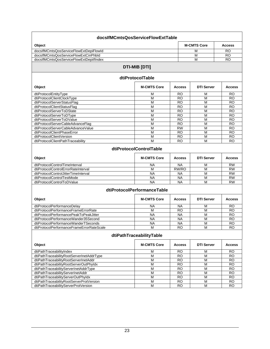| docsIfMCmtsQosServiceFlowExtTable         |                             |                 |                    |                 |  |
|-------------------------------------------|-----------------------------|-----------------|--------------------|-----------------|--|
| Object                                    |                             |                 | <b>M-CMTS Core</b> | <b>Access</b>   |  |
| docsIfMCmtsQosServiceFlowExtDepiFlowId    |                             |                 | М                  | <b>RO</b>       |  |
| docsIfMCmtsQosServiceFlowExtCinPhbld      |                             |                 | M                  | <b>RO</b>       |  |
| docsIfMCmtsQosServiceFlowExtDepilfIndex   |                             |                 | M                  | <b>RO</b>       |  |
|                                           | <b>DTI-MIB [DTI]</b>        |                 |                    |                 |  |
|                                           | dtiProtocolTable            |                 |                    |                 |  |
| Object                                    | <b>M-CMTS Core</b>          | <b>Access</b>   | <b>DTI Server</b>  | <b>Access</b>   |  |
| dtiProtocolEntityType                     | M                           | RO              | M                  | RO              |  |
| dtiProtocolClientClockType                | M                           | <b>RO</b>       | M                  | RO              |  |
| dtiProtocolServerStatusFlag               | M                           | <b>RO</b>       | M                  | <b>RO</b>       |  |
| dtiProtocolClientStatusFlag               | M                           | <b>RO</b>       | M                  | <b>RO</b>       |  |
| dtiProtocolServerToDState                 | M                           | <b>RO</b>       | M                  | <b>RO</b>       |  |
| dtiProtocolServerToDType                  | M                           | <b>RO</b>       | M                  | <b>RO</b>       |  |
| dtiProtocolServerToDValue                 | M                           | <b>RO</b>       | M                  | RO              |  |
| dtiProtocolServerCableAdvanceFlag         | M                           | <b>RO</b>       | M                  | <b>RO</b>       |  |
| dtiProtocolServerCableAdvanceValue        | M                           | <b>RW</b>       | M                  | $\overline{RO}$ |  |
| dtiProtocolClientPhaseError               | M                           | <b>RO</b>       | M                  | <b>RO</b>       |  |
| dtiProtocolClientVersion                  | M                           | <b>RO</b>       | M                  | <b>RO</b>       |  |
| dtiProtocolClientPathTraceability         | M                           | <b>RO</b>       | M                  | <b>RO</b>       |  |
|                                           | dtiProtocolControlTable     |                 |                    |                 |  |
| Object                                    | <b>M-CMTS Core</b>          | <b>Access</b>   | <b>DTI Server</b>  | <b>Access</b>   |  |
| dtiProtocolControlTimeInterval            | <b>NA</b>                   | <b>NA</b>       | М                  | <b>RW</b>       |  |
| dtiProtocolControlErrorRateInterval       | M                           | RW/RO           | M                  | <b>RW</b>       |  |
| dtiProtocolControlJitterTimeInterval      | <b>NA</b>                   | <b>NA</b>       | M                  | <b>RW</b>       |  |
| dtiProtocolControlTestMode                | <b>NA</b>                   | <b>NA</b>       | M                  | <b>RW</b>       |  |
| dtiProtocolControlToDValue                | <b>NA</b>                   | <b>NA</b>       | M                  | <b>RW</b>       |  |
|                                           | dtiProtocolPerformanceTable |                 |                    |                 |  |
| Object                                    | <b>M-CMTS Core</b>          | <b>Access</b>   | <b>DTI Server</b>  | <b>Access</b>   |  |
| dtiProtocolPerformanceDelay               | <b>NA</b>                   | <b>NA</b>       | М                  | <b>RO</b>       |  |
| dtiProtocolPerformanceFrameErrorRate      | M                           | $\overline{RO}$ | M                  | <b>RO</b>       |  |
| dtiProtocolPerformancePeakToPeakJitter    | <b>NA</b>                   | <b>NA</b>       | M                  | <b>RO</b>       |  |
| dtiProtocolPerformanceWander35Second      | <b>NA</b>                   | <b>NA</b>       | M                  | <b>RO</b>       |  |
| dtiProtocolPerformanceWanderTSeconds      | <b>NA</b>                   | <b>NA</b>       | M                  | <b>RO</b>       |  |
| dtiProtocolPerformanceFrameErrorRateScale | M                           | <b>RO</b>       | M                  | <b>RO</b>       |  |
| dtiPathTraceabilityTable                  |                             |                 |                    |                 |  |
| Object                                    | <b>M-CMTS Core</b>          | <b>Access</b>   | <b>DTI Server</b>  | <b>Access</b>   |  |
| dtiPathTraceabilityIndex                  | М                           | <b>RO</b>       | M                  | <b>RO</b>       |  |
| dtiPathTraceabilityRootServerInetAddrType | M                           | <b>RO</b>       | M                  | <b>RO</b>       |  |
| dtiPathTraceabilityRootServerInetAddr     | M                           | <b>RO</b>       | M                  | <b>RO</b>       |  |
| dtiPathTraceabilityRootServerOutPhyIdx    | M                           | <b>RO</b>       | M                  | <b>RO</b>       |  |
| dtiPathTraceabilityServerInetAddrType     | M                           | <b>RO</b>       | M                  | <b>RO</b>       |  |
| dtiPathTraceabilityServerInetAddr         | M                           | <b>RO</b>       | M                  | <b>RO</b>       |  |
| dtiPathTraceabilityServerOutPhyIdx        | M                           | <b>RO</b>       | M                  | <b>RO</b>       |  |
| dtiPathTraceabilityRootServerProtVersion  | M                           | <b>RO</b>       | M                  | <b>RO</b>       |  |
| dtiPathTraceabilityServerProtVersion      | M                           | <b>RO</b>       | M                  | <b>RO</b>       |  |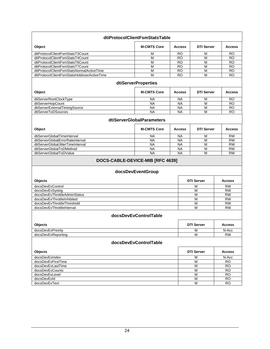|                                                 | dtiProtocolClientFsmStatsTable                        |               |                   |                 |
|-------------------------------------------------|-------------------------------------------------------|---------------|-------------------|-----------------|
| Object                                          | <b>M-CMTS Core</b>                                    | <b>Access</b> | <b>DTI Server</b> | <b>Access</b>   |
| dtiProtocolClientFsmStatsT3Count                | М                                                     | <b>RO</b>     | M                 | RO              |
| dtiProtocolClientFsmStatsT4Count                | M                                                     | <b>RO</b>     | M                 | <b>RO</b>       |
| dtiProtocolClientFsmStatsT6Count                | M                                                     | <b>RO</b>     | M                 | <b>RO</b>       |
| dtiProtocolClientFsmStatsT7Count                | $\overline{M}$                                        | <b>RO</b>     | $\overline{M}$    | <b>RO</b>       |
| dtiProtocolClientFsmStatsNormalActiveTime       | M                                                     | <b>RO</b>     | M                 | <b>RO</b>       |
| dtiProtocolClientFsmStatsHoldoverActiveTime     | M                                                     | <b>RO</b>     | M                 | <b>RO</b>       |
|                                                 | <b>dtiServerProperties</b>                            |               |                   |                 |
| Object                                          | <b>M-CMTS Core</b>                                    | <b>Access</b> | <b>DTI Server</b> | <b>Access</b>   |
| dtiServerRootClockType                          | <b>NA</b>                                             | <b>NA</b>     | М                 | <b>RO</b>       |
| dtiServerHopCount                               | <b>NA</b>                                             | <b>NA</b>     | M                 | <b>RO</b>       |
| dtiServerExternalTimingSource                   | <b>NA</b>                                             | <b>NA</b>     | M                 | <b>RO</b>       |
| dtiServerToDSources                             | <b>NA</b>                                             | <b>NA</b>     | M                 | <b>RO</b>       |
|                                                 | <b>dtiServerGlobalParameters</b>                      |               |                   |                 |
| Object                                          | <b>M-CMTS Core</b>                                    | <b>Access</b> | <b>DTI Server</b> | <b>Access</b>   |
| dtiServerGlobalTimeInterval                     | <b>NA</b>                                             | <b>NA</b>     | M                 | <b>RW</b>       |
| dtiServerGlobalErrorRateInterval                | <b>NA</b>                                             | <b>NA</b>     | M                 | <b>RW</b>       |
| dtiServerGlobalJitterTimeInterval               | <b>NA</b>                                             | <b>NA</b>     | M                 | <b>RW</b>       |
| dtiServerGlobalToDMethod                        | <b>NA</b>                                             | <b>NA</b>     | M                 | <b>RW</b>       |
| dtiServerGlobalToDValue                         | <b>NA</b>                                             | <b>NA</b>     | M                 | <b>RW</b>       |
|                                                 | DOCS-CABLE-DEVICE-MIB [RFC 4639]<br>docsDevEventGroup |               |                   |                 |
| Objects                                         |                                                       |               | <b>DTI Server</b> | <b>Access</b>   |
|                                                 |                                                       |               |                   | <b>RW</b>       |
| docsDevEvControl                                |                                                       |               | М<br>M            | <b>RW</b>       |
| docsDevEvSyslog<br>docsDevEvThrottleAdminStatus |                                                       |               | M                 | <b>RW</b>       |
| docsDevEvThrottleInhibited                      |                                                       |               | M                 | <b>RW</b>       |
| docsDevEvThrottleThreshold                      |                                                       |               | М                 | <b>RW</b>       |
| docsDevEvThrottleInterval                       |                                                       |               | м                 | <b>RW</b>       |
|                                                 | docsDevEvControlTable                                 |               |                   |                 |
| Objects                                         |                                                       |               | <b>DTI Server</b> | <b>Access</b>   |
| docsDevEvPriority                               |                                                       |               | М                 | N-Acc           |
| docsDevEvReporting                              |                                                       |               | M                 | <b>RW</b>       |
|                                                 | docsDevEvControlTable                                 |               |                   |                 |
| Objects                                         |                                                       |               | <b>DTI Server</b> | <b>Access</b>   |
| docsDevEvIndex                                  |                                                       |               | М                 | N-Acc           |
| docsDevEvFirstTime                              |                                                       |               | M                 | <b>RO</b>       |
| docsDevEvLastTime                               |                                                       |               | М                 | RO.             |
| docsDevEvCounts                                 |                                                       |               | M                 | $\overline{RO}$ |
| docsDevEvLevel                                  |                                                       |               | M                 | <b>RO</b>       |
| docsDevEvId                                     |                                                       |               | M                 | <b>RO</b>       |
| docsDevEvText                                   |                                                       |               | М                 | RO              |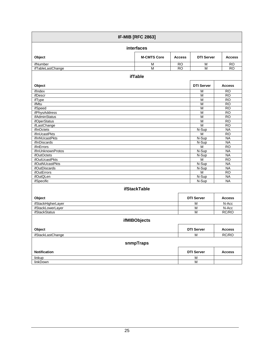|                       | <b>IF-MIB [RFC 2863]</b> |               |                   |                 |
|-----------------------|--------------------------|---------------|-------------------|-----------------|
|                       | interfaces               |               |                   |                 |
| Object                | <b>M-CMTS Core</b>       | <b>Access</b> | <b>DTI Server</b> | <b>Access</b>   |
| ifNumber              | M                        | <b>RO</b>     | M                 | <b>RO</b>       |
| ifTableLastChange     | $\overline{M}$           | <b>RO</b>     | M                 | <b>RO</b>       |
|                       | <b>ifTable</b>           |               |                   |                 |
| Object                |                          |               | <b>DTI Server</b> | <b>Access</b>   |
| ifIndex               |                          |               | М                 | <b>RO</b>       |
| ifDescr               |                          |               | M                 | <b>RO</b>       |
| ifType                |                          |               | M                 | $\overline{RO}$ |
| ifMtu                 |                          |               | M                 | $\overline{RO}$ |
| ifSpeed               |                          |               | M                 | <b>RO</b>       |
| ifPhysAddress         |                          |               | M                 | <b>RO</b>       |
| <b>ifAdminStatus</b>  |                          |               | M                 | RO              |
| <i>ifOperStatus</i>   |                          |               | M                 | <b>RO</b>       |
| ifLastChange          |                          |               | M                 | $\overline{RO}$ |
| ifInOctets            |                          |               | N-Sup             | <b>NA</b>       |
| ifInUcastPkts         |                          |               | M                 | <b>RO</b>       |
| <b>ifInNUcastPkts</b> |                          |               | N-Sup             | <b>NA</b>       |
| ifInDiscards          |                          |               | N-Sup             | <b>NA</b>       |
| ifInErrors            |                          |               | M                 | $\overline{RO}$ |
| ifInUnknownProtos     |                          |               | N-Sup             | <b>NA</b>       |
| <i>ifOutOctets</i>    |                          |               | N-Sup             | <b>NA</b>       |
| ifOutUcastPkts        |                          |               | $\overline{M}$    | <b>RO</b>       |
| ifOutNUcastPkts       |                          |               | N-Sup             | <b>NA</b>       |
| <i>ifOutDiscards</i>  |                          |               | N-Sup             | <b>NA</b>       |
| <b>ifOutErrors</b>    |                          |               | M                 | <b>RO</b>       |
| <i>ifOutQLen</i>      |                          |               | N-Sup             | <b>NA</b>       |
| ifSpecific            |                          |               | N-Sup             | <b>NA</b>       |
|                       | <b>ifStackTable</b>      |               |                   |                 |
| Object                |                          |               | <b>DTI Server</b> | <b>Access</b>   |
| ifStackHigherLayer    |                          |               | М                 | N-Acc           |
| ifStackLowerLayer     |                          |               | M                 | N-Acc           |
| <b>ifStackStatus</b>  |                          |               | $\overline{M}$    | RC/RO           |
|                       | <b>ifMIBObjects</b>      |               |                   |                 |
| Object                |                          |               | <b>DTI Server</b> | Access          |
| ifStackLastChange     |                          |               | M                 | RC/RO           |
|                       | snmpTraps                |               |                   |                 |
| <b>Notification</b>   |                          |               | <b>DTI Server</b> | <b>Access</b>   |
| linkup                |                          |               | M                 |                 |
| linkDown              |                          |               | $\overline{M}$    |                 |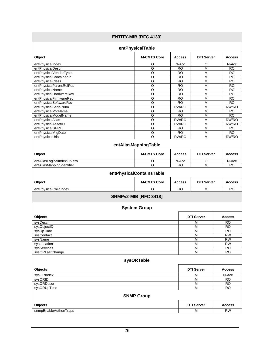|                                             | <b>ENTITY-MIB [RFC 4133]</b> |                        |                              |                        |
|---------------------------------------------|------------------------------|------------------------|------------------------------|------------------------|
|                                             | entPhysicalTable             |                        |                              |                        |
| Object                                      | <b>M-CMTS Core</b>           | <b>Access</b>          | <b>DTI Server</b>            | <b>Access</b>          |
| entPhysicalIndex                            | O                            | N-Acc                  | O                            | N-Acc                  |
| entPhysicalDescr                            | $\overline{O}$               | <b>RO</b>              | $\overline{M}$               | <b>RO</b>              |
| entPhysicalVendorType                       | O                            | <b>RO</b>              | M                            | <b>RO</b>              |
| entPhysicalContainedIn                      | $\circ$                      | <b>RO</b>              | M                            | <b>RO</b>              |
| entPhysicalClass<br>entPhysicalParentRelPos | $\circ$<br>$\overline{O}$    | <b>RO</b><br><b>RO</b> | M<br>$\overline{\mathsf{M}}$ | <b>RO</b><br><b>RO</b> |
| entPhysicalName                             | $\overline{\circ}$           | <b>RO</b>              | $\overline{M}$               | <b>RO</b>              |
| entPhysicalHardwareRev                      | O                            | RO                     | M                            | <b>RO</b>              |
| entPhysicalFirmwareRev                      | $\overline{\circ}$           | <b>RO</b>              | $\overline{M}$               | <b>RO</b>              |
| entPhysicalSoftwareRev                      | $\circ$                      | <b>RO</b>              | M                            | RO <sub></sub>         |
| entPhysicalSerialNum                        | O                            | RW/RO                  | M                            | RW/RO                  |
| entPhysicalMfgName                          | $\circ$                      | RO                     | M                            | <b>RO</b>              |
| entPhysicalModelName                        | O                            | <b>RO</b>              | M                            | <b>RO</b>              |
| entPhysicalAlias                            | O                            | RW/RO                  | M                            | RW/RO                  |
| entPhysicalAssetID                          | $\overline{O}$               | RW/RO                  | M                            | RW/RO                  |
| entPhysicalIsFRU                            | O                            | <b>RO</b>              | M                            | <b>RO</b>              |
| entPhysicalMfgDate                          | $\overline{\circ}$           | $\overline{RO}$        | $\overline{M}$               | <b>RO</b>              |
| entPhysicalUris                             | $\circ$                      | RW/RO                  | M                            | RW/RO                  |
|                                             | entAliasMappingTable         |                        |                              |                        |
| Object                                      | <b>M-CMTS Core</b>           | <b>Access</b>          | <b>DTI Server</b>            | <b>Access</b>          |
| entAliasLogicalIndexOrZero                  | O                            | N-Acc                  | O                            | N-Acc                  |
| entAliasMappingIdentifier                   | O                            | <b>RO</b>              | M                            | RO.                    |
|                                             | entPhysicalContainsTable     |                        |                              |                        |
| Object                                      | <b>M-CMTS Core</b>           | <b>Access</b>          | <b>DTI Server</b>            | <b>Access</b>          |
| entPhysicalChildIndex                       | O                            | <b>RO</b>              | M                            | <b>RO</b>              |
|                                             | <b>SNMPv2-MIB [RFC 3418]</b> |                        |                              |                        |
|                                             | <b>System Group</b>          |                        |                              |                        |
| Objects                                     |                              |                        | <b>DTI Server</b>            | <b>Access</b>          |
| sysDescr                                    |                              |                        | М                            | <b>RO</b>              |
| sysObjectID                                 |                              |                        | M                            | <b>RO</b>              |
| sysuplime                                   |                              |                        | M                            | <b>RO</b>              |
| sysContact                                  |                              |                        | M                            | $\overline{RW}$        |
| sysName                                     |                              |                        | М                            | <b>RW</b>              |
| sysLocation                                 |                              |                        | $\overline{M}$               | $\overline{RW}$        |
| sysServices                                 |                              |                        | М                            | <b>RO</b>              |
| sysORLastChange                             |                              |                        | Μ                            | <b>RO</b>              |
|                                             | sysORTable                   |                        |                              |                        |
| Objects                                     |                              |                        | <b>DTI Server</b>            | <b>Access</b>          |
| sysORIndex                                  |                              |                        | M                            | N-Acc                  |
| sysORID                                     |                              |                        | М                            | RO.                    |
| sysORDescr                                  |                              |                        | M                            | <b>RO</b>              |
| sysORUpTime                                 |                              |                        | M                            | $\overline{RO}$        |
|                                             | <b>SNMP Group</b>            |                        |                              |                        |
| Objects                                     |                              |                        | <b>DTI Server</b>            | <b>Access</b>          |
| snmpEnableAuthenTraps                       |                              |                        | M                            | <b>RW</b>              |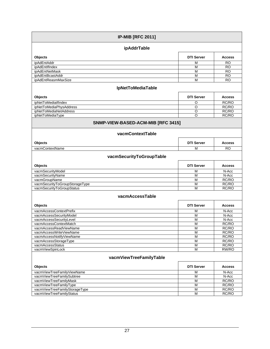| <b>IP-MIB [RFC 2011]</b>                                    |                   |                |  |  |  |
|-------------------------------------------------------------|-------------------|----------------|--|--|--|
| ipAddrTable                                                 |                   |                |  |  |  |
| Objects                                                     | <b>DTI Server</b> | <b>Access</b>  |  |  |  |
| <i>ipAdEntAddr</i>                                          | М                 | RO             |  |  |  |
| ipAdEntIfIndex                                              | M                 | <b>RO</b>      |  |  |  |
| ipAdEntNetMask                                              | М                 | <b>RO</b>      |  |  |  |
| ipAdEntBcastAddr                                            | M                 | <b>RO</b>      |  |  |  |
| ipAdEntReasmMaxSize                                         | M                 | <b>RO</b>      |  |  |  |
| <b>IpNetToMediaTable</b>                                    |                   |                |  |  |  |
| Objects                                                     | <b>DTI Server</b> | <b>Access</b>  |  |  |  |
| ipNetToMedialfIndex                                         | O                 | RC/RO          |  |  |  |
| ipNetToMediaPhysAddress                                     | O                 | RC/RO          |  |  |  |
| ipNetToMediaNetAddress                                      | O                 | RC/RO          |  |  |  |
| ipNetToMediaType                                            | O                 | RC/RO          |  |  |  |
| SNMP-VIEW-BASED-ACM-MIB [RFC 3415]                          |                   |                |  |  |  |
| vacmContextTable                                            |                   |                |  |  |  |
| Objects                                                     | <b>DTI Server</b> | <b>Access</b>  |  |  |  |
| vacmContextName                                             | М                 | <b>RO</b>      |  |  |  |
| vacmSecurityToGroupTable                                    |                   |                |  |  |  |
| Objects                                                     | <b>DTI Server</b> | <b>Access</b>  |  |  |  |
| vacmSecurityModel                                           | M                 | N-Acc          |  |  |  |
| vacmSecurityName                                            | M                 | N-Acc          |  |  |  |
| vacmGroupName                                               | M                 | RC/RO          |  |  |  |
| vacmSecurityToGroupStorageType<br>vacmSecurityToGroupStatus | M<br>M            | RC/RO<br>RC/RO |  |  |  |
| vacmAccessTable                                             |                   |                |  |  |  |
| Objects                                                     | <b>DTI Server</b> | <b>Access</b>  |  |  |  |
| vacmAccessContextPrefix                                     | M                 | N-Acc          |  |  |  |
| vacmAccessSecurityModel                                     | M                 | N-Acc          |  |  |  |
| vacmAccessSecurityLevel                                     | M                 | N-Acc          |  |  |  |
| vacmAccessContextMatch                                      | M                 | RC/RO          |  |  |  |
| vacmAccessReadViewName                                      | M                 | RC/RO          |  |  |  |
| vacmAccessWriteViewName                                     | M                 | RC/RO          |  |  |  |
| vacmAccessNotifyViewName                                    | M                 | RC/RO          |  |  |  |
| vacmAccessStorageType                                       | M                 | RC/RO          |  |  |  |
| vacmAccessStatus                                            | M                 | RC/RO          |  |  |  |
| vacmViewSpinLock                                            | M                 | RW/RO          |  |  |  |
| vacmViewTreeFamilyTable                                     |                   |                |  |  |  |
| Objects                                                     | <b>DTI Server</b> | <b>Access</b>  |  |  |  |
| vacmViewTreeFamilyViewName                                  | M                 | N-Acc          |  |  |  |
| vacmViewTreeFamilySubtree                                   | M                 | N-Acc          |  |  |  |
| vacmViewTreeFamilyMask                                      | M                 | RC/RO          |  |  |  |
| vacmViewTreeFamilyType                                      | M                 | RC/RO          |  |  |  |
| vacmViewTreeFamilyStorageType                               | M                 | RC/RO          |  |  |  |
| vacmViewTreeFamilyStatus                                    | M                 | RC/RO          |  |  |  |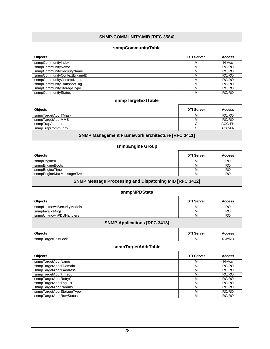#### **SNMP-COMMUNITY-MIB [\[RFC 3584\]](#page-5-9)  snmpCommunityTable Objects DTI Server Access**  snmpCommunityIndex M N-Acc National CommunityIndex M N-Acc National CommunityIndex M N-Acc National CommunityName snmpCommunityName M RC/RO<br>snmpCommunitySecurityName M RC/RO snmpCommunitySecurityName M RC/RO snmpCommunityContextEngineID M RC/RO<br>
SnmpCommunityContextName M RC/RO snmpCommunityContextName M RC/RO/ROM RC/ROM RC/ROM RC/ROM RC/ROM RC/ROM RC/ROM RC/ROM RC/ROM RC/ROM RC/ROM RC/ROM RC/ROM RC/ROM RC/ROM RC/ROM RC/ROM RC/ROM RC/ROM RC/ROM RC/ROM RC/ROM RC/ROM RC/ROM RC/ROM RC/ROM RC/ROM RC/ snmpCommunityTransportTag **M** RC/RO snmpCommunityStorageType **M** RC/RO snmpCommunityStatus M RC/RO **snmpTargetExtTable Objects DTI Server Access**  snmpTargetAddrTMask M RC/RO snmpTargetAddrMMS Note and the state of the state of the state of the state of the state of the state of the state of the state of the state of the state of the state of the state of the state of the state of the state of snmpTrapAddress O ACC-FN snmpTrapCommunity and a control of the control of the control of the control of the ACC-FN shape and the control of the ACC-FN shape and the control of the control of the control of the control of the control of the contro **SNMP Management Framework architecture [\[RFC 3411\]](#page-5-7) snmpEngine Group Objects DTI Server Access**  snmpEngineID M RO<br>
snmpEngineBoots M RO snmpEngineBoots snmpEngineTime M RO<br>snmpEngineMaxMessageSize M RO snmpEngineMaxMessageSize M RO **SNMP Message Processing and Dispatching MIB [\[RFC 3412\]](#page-5-14) snmpMPDStats Objects DTI Server Access**  snmpUnknownSecurityModels **M** RO<br>
snmpInvalidMsos M RO snmpInvalidMsgs M RO<br>
snmpUnknownPDUHandlers M RO snmpUnknownPDUHandlers M RO **SNMP Applications [\[RFC 3413\]](#page-5-15)  Objects DTI Server Access**  snmpTargetSpinLock M RW/RO **snmpTargetAddrTable Objects DTI Server Access**  snmpTargetAddrName M N-Acc No. 2012<br>https://www.accommunity.com/induct/induct/induct/induct/induct/induct/induct/induct/induct/induct/induct/induc<br>M RC/RO snmpTargetAddrTDomain M RC/RO snmpTargetAddrTAddress M RC/RO snmpTargetAddrTimeout M RC/RO<br>
snmpTargetAddrRetryCount M RC/RO snmpTargetAddrRetryCount M RC/RO snmpTargetAddrTagList snmpTargetAddrParams M RC/RO snmpTargetAddrStorageType **M** RC/RO snmpTargetAddrRowStatus M RC/RO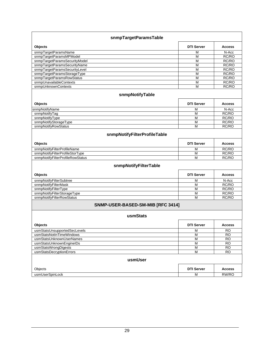| snmpTargetParamsTable             |                   |                 |  |  |
|-----------------------------------|-------------------|-----------------|--|--|
| Objects                           | <b>DTI Server</b> | <b>Access</b>   |  |  |
| snmpTargetParamsName              | M                 | N-Acc           |  |  |
| snmpTargetParamsMPModel           | M                 | RC/RO           |  |  |
| snmpTargetParamsSecurityModel     | M                 | RC/RO           |  |  |
| snmpTargetParamsSecurityName      | M                 | RC/RO           |  |  |
| snmpTargetParamsSecurityLevel     | M                 | RC/RO           |  |  |
| snmpTargetParamsStorageType       | M                 | RC/RO           |  |  |
| snmpTargetParamsRowStatus         | M                 | RC/RO           |  |  |
| snmpUnavailableContexts           | M                 | RC/RO           |  |  |
| snmpUnknownContexts               | M                 | RC/RO           |  |  |
| snmpNotifyTable                   |                   |                 |  |  |
| Objects                           | <b>DTI Server</b> | <b>Access</b>   |  |  |
| snmpNotifyName                    | М                 | N-Acc           |  |  |
| snmpNotifyTag                     | М                 | RC/RO           |  |  |
| snmpNotifyType                    | М                 | RC/RO           |  |  |
| snmpNotifyStorageType             | M                 | RC/RO           |  |  |
| snmpNotifyRowStatus               | M                 | RC/RO           |  |  |
| snmpNotifyFilterProfileTable      |                   |                 |  |  |
| Objects                           | <b>DTI Server</b> | <b>Access</b>   |  |  |
| snmpNotifyFilterProfileName       | М                 | RC/RO           |  |  |
| snmpNotifyFilterProfileStorType   | M                 | RC/RO           |  |  |
| snmpNotifyFilterProfileRowStatus  | M                 | RC/RO           |  |  |
| snmpNotifyFilterTable             |                   |                 |  |  |
| Objects                           | <b>DTI Server</b> | <b>Access</b>   |  |  |
| snmpNotifyFilterSubtree           | М                 | N-Acc           |  |  |
| snmpNotifyFilterMask              | M                 | RC/RO           |  |  |
| snmpNotifyFilterType              | М                 | RC/RO           |  |  |
| snmpNotifyFilterStorageType       | M                 | RC/RO           |  |  |
| snmpNotifyFilterRowStatus         | M                 | RC/RO           |  |  |
| SNMP-USER-BASED-SM-MIB [RFC 3414] |                   |                 |  |  |
| usmStats                          |                   |                 |  |  |
| Objects                           | <b>DTI Server</b> | <b>Access</b>   |  |  |
| usmStatsUnsupportedSecLevels      | М                 | <b>RO</b>       |  |  |
| usmStatsNotInTimeWindows          | M                 | $\overline{RO}$ |  |  |
| usmStatsUnknownUserNames          | М                 | <b>RO</b>       |  |  |
| usmStatsUnknownEngineIDs          | $\overline{M}$    | $\overline{RO}$ |  |  |
| usmStatsWrongDigests              | М                 | <b>RO</b>       |  |  |
| usmStatsDecryptionErrors          | М                 | $\overline{RO}$ |  |  |
| usmUser                           |                   |                 |  |  |
| Objects                           | <b>DTI Server</b> | <b>Access</b>   |  |  |
| usmUserSpinLock                   | М                 | RW/RO           |  |  |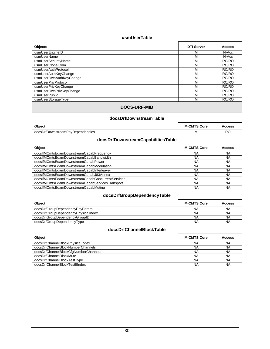| usmUserTable                                     |                    |               |
|--------------------------------------------------|--------------------|---------------|
| Objects                                          | <b>DTI Server</b>  | <b>Access</b> |
| usmUserEngineID                                  | М                  | N-Acc         |
| usmUserName                                      | M                  | N-Acc         |
| usmUserSecurityName                              | M                  | RC/RO         |
| usmUserCloneFrom                                 | M                  | RC/RO         |
| usmUserAuthProtocol                              | M                  | RC/RO         |
| usmUserAuthKeyChange                             | M                  | RC/RO         |
| usmUserOwnAuthKeyChange                          | M                  | RC/RO         |
| usmUserPrivProtocol                              | M                  | RC/RO         |
| usmUserPrivKeyChange                             | M                  | RC/RO         |
| usmUserOwnPrivKeyChange                          | M                  | RC/RO         |
| usmUserPublic                                    | M                  | RC/RO         |
| usmUserStorageType                               | М                  | RC/RO         |
| <b>DOCS-DRF-MIB</b><br>docsDrfDownstreamTable    |                    |               |
| Object                                           | <b>M-CMTS Core</b> | <b>Access</b> |
| docsDrfDownstreamPhyDependencies                 | М                  | <b>RO</b>     |
| docsDrfDownstreamCapabilitiesTable               |                    |               |
| Object                                           | <b>M-CMTS Core</b> | <b>Access</b> |
| docsIfMCmtsEqamDownstreamCapabFrequency          | <b>NA</b>          | <b>NA</b>     |
| docsIfMCmtsEgamDownstreamCapabBandwidth          | <b>NA</b>          | <b>NA</b>     |
| docsIfMCmtsEqamDownstreamCapabPower              | <b>NA</b>          | <b>NA</b>     |
| docsIfMCmtsEqamDownstreamCapabModulation         | <b>NA</b>          | <b>NA</b>     |
| docsIfMCmtsEqamDownstreamCapabInterleaver        | <b>NA</b>          | <b>NA</b>     |
| docsIfMCmtsEqamDownstreamCapabJ83Annex           | <b>NA</b>          | <b>NA</b>     |
| docsIfMCmtsEqamDownstreamCapabConcurrentServices | NA                 | <b>NA</b>     |
| docsIfMCmtsEqamDownstreamCapabServicesTransport  | <b>NA</b>          | <b>NA</b>     |
| docsIfMCmtsEqamDownstreamCapabMuting             | <b>NA</b>          | <b>NA</b>     |
| docsDrfGroupDependencyTable                      |                    |               |
| Object                                           | <b>M-CMTS Core</b> | <b>Access</b> |
| docsDrfGroupDependencyPhyParam                   | NA                 | <b>NA</b>     |
| docsDrfGroupDependencyPhysicalIndex              | NA                 | <b>NA</b>     |
| docsDrfGroupDependencyGroupID                    | <b>NA</b>          | <b>NA</b>     |
| docsDrfGroupDependencyType                       | <b>NA</b>          | <b>NA</b>     |
| docsDrfChannelBlockTable                         |                    |               |
| Object                                           | <b>M-CMTS Core</b> | <b>Access</b> |
| docsDrfChannelBlockPhysicalIndex                 | <b>NA</b>          | <b>NA</b>     |
| docsDrfChannelBlockNumberChannels                | <b>NA</b>          | <b>NA</b>     |
| docsDrfChannelBlockCfgNumberChannels             | <b>NA</b>          | <b>NA</b>     |
| docsDrfChannelBlockMute                          | <b>NA</b>          | <b>NA</b>     |
| docsDrfChannelBlockTestType                      | <b>NA</b>          | <b>NA</b>     |
| docsDrfChannelBlockTestIfIndex                   | <b>NA</b>          | <b>NA</b>     |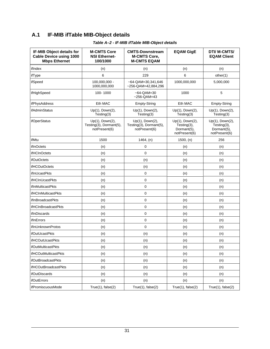## <span id="page-34-1"></span><span id="page-34-0"></span>**A.1 IF-MIB ifTable MIB-Object details**

<span id="page-34-2"></span>

| IF-MIB Object details for<br><b>Cable Device using 1000</b><br><b>Mbps Ethernet</b> | <b>M-CMTS Core</b><br><b>NSI Ethernet-</b><br>100/1000      | <b>CMTS-Downstream</b><br><b>M-CMTS Core,</b><br><b>M-CMTS EQAM</b> | <b>EQAM GigE</b>                                               | <b>DTI/ M-CMTS/</b><br><b>EQAM Client</b>                      |
|-------------------------------------------------------------------------------------|-------------------------------------------------------------|---------------------------------------------------------------------|----------------------------------------------------------------|----------------------------------------------------------------|
| ifIndex                                                                             | (n)                                                         | (n)                                                                 | (n)                                                            | (n)                                                            |
| ifType                                                                              | 6                                                           | 229                                                                 | 6                                                              | other(1)                                                       |
| ifSpeed                                                                             | 100,000,000 -<br>1000,000,000                               | $~-64$ -QAM=30,341,646<br>~256-QAM=42,884,296                       | 1000,000,000                                                   | 5,000,000                                                      |
| ifHighSpeed                                                                         | 100-1000                                                    | $~-64$ -QAM=30<br>$~256$ -QAM=43                                    | 1000                                                           | 5                                                              |
| ifPhysAddress                                                                       | Eth MAC                                                     | <b>Empty-String</b>                                                 | Eth MAC                                                        | Empty-String                                                   |
| ifAdminStatus                                                                       | Up(1), Down(2),<br>Testing(3)                               | Up(1), Down(2),<br>Testing(3)                                       | Up(1), Down(2),<br>Testing(3)                                  | Up(1), Down(2),<br>Testing(3)                                  |
| <i>ifOperStatus</i>                                                                 | Up(1), Down(2),<br>Testing(3), Dormant(5),<br>notPresent(6) | Up(1), Down(2),<br>Testing(3), Dormant(5),<br>notPresent(6)         | Up(1), Down(2),<br>Testing(3),<br>Dormant(5),<br>notPresent(6) | Up(1), Down(2),<br>Testing(3),<br>Dormant(5),<br>notPresent(6) |
| ifMtu                                                                               | 1500                                                        | 1464, (n)                                                           | 1500, (n)                                                      | 256                                                            |
| ifInOctets                                                                          | (n)                                                         | 0                                                                   | (n)                                                            | (n)                                                            |
| <b>ifHCInOctets</b>                                                                 | (n)                                                         | $\mathbf 0$                                                         | (n)                                                            | (n)                                                            |
| <b>ifOutOctets</b>                                                                  | (n)                                                         | (n)                                                                 | (n)                                                            | (n)                                                            |
| <b>ifHCOutOctets</b>                                                                | (n)                                                         | (n)                                                                 | (n)                                                            | (n)                                                            |
| <b>ifInUcastPkts</b>                                                                | (n)                                                         | 0                                                                   | (n)                                                            | (n)                                                            |
| <b>ifHCInUcastPkts</b>                                                              | (n)                                                         | 0                                                                   | (n)                                                            | (n)                                                            |
| ifInMulticastPkts                                                                   | (n)                                                         | 0                                                                   | (n)                                                            | (n)                                                            |
| ifHCInMulticastPkts                                                                 | (n)                                                         | 0                                                                   | (n)                                                            | (n)                                                            |
| ifInBroadcastPkts                                                                   | (n)                                                         | 0                                                                   | (n)                                                            | (n)                                                            |
| <b>ifHCInBroadcastPkts</b>                                                          | (n)                                                         | 0                                                                   | (n)                                                            | (n)                                                            |
| ifInDiscards                                                                        | (n)                                                         | 0                                                                   | (n)                                                            | (n)                                                            |
| ifInErrors                                                                          | (n)                                                         | 0                                                                   | (n)                                                            | (n)                                                            |
| ifInUnknownProtos                                                                   | (n)                                                         | 0                                                                   | (n)                                                            | (n)                                                            |
| ifOutUcastPkts                                                                      | (n)                                                         | (n)                                                                 | (n)                                                            | (n)                                                            |
| <b>ifHCOutUcastPkts</b>                                                             | (n)                                                         | (n)                                                                 | (n)                                                            | (n)                                                            |
| ifOutMulticastPkts                                                                  | (n)                                                         | (n)                                                                 | (n)                                                            | (n)                                                            |
| ifHCOutMulticastPkts                                                                | (n)                                                         | (n)                                                                 | (n)                                                            | (n)                                                            |
| ifOutBroadcastPkts                                                                  | (n)                                                         | (n)                                                                 | (n)                                                            | (n)                                                            |
| ifHCOutBroadcastPkts                                                                | (n)                                                         | (n)                                                                 | (n)                                                            | (n)                                                            |
| ifOutDiscards                                                                       | (n)                                                         | (n)                                                                 | (n)                                                            | (n)                                                            |
| ifOutErrors                                                                         | (n)                                                         | (n)                                                                 | (n)                                                            | (n)                                                            |
| ifPromiscuousMode                                                                   | True(1), false(2)                                           | True(1), false(2)                                                   | True(1), false(2)                                              | True(1), false(2)                                              |

## *Table A–2 - IF-MIB ifTable MIB-Object details*